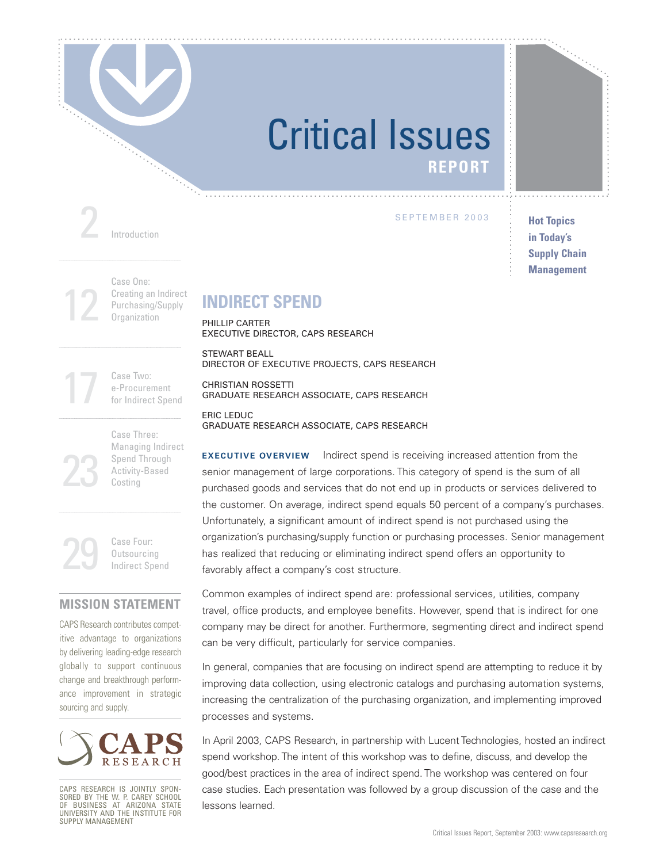

### Critical Issues **REPORT**

2 Introduction

SEPTEMBER 2003

**Hot Topics in Today's Supply Chain Management**

12 Case One: Creating an Indirect Purchasing/Supply **Organization** 

### **INDIRECT SPEND**

PHILLIP CARTER EXECUTIVE DIRECTOR, CAPS RESEARCH

STEWART BEALL DIRECTOR OF EXECUTIVE PROJECTS, CAPS RESEARCH

CHRISTIAN ROSSETTI GRADUATE RESEARCH ASSOCIATE, CAPS RESEARCH

ERIC LEDUC GRADUATE RESEARCH ASSOCIATE, CAPS RESEARCH

**EXECUTIVE OVERVIEW** Indirect spend is receiving increased attention from the senior management of large corporations. This category of spend is the sum of all purchased goods and services that do not end up in products or services delivered to the customer. On average, indirect spend equals 50 percent of a company's purchases. Unfortunately, a significant amount of indirect spend is not purchased using the organization's purchasing/supply function or purchasing processes. Senior management has realized that reducing or eliminating indirect spend offers an opportunity to favorably affect a company's cost structure.

Common examples of indirect spend are: professional services, utilities, company travel, office products, and employee benefits. However, spend that is indirect for one company may be direct for another. Furthermore, segmenting direct and indirect spend can be very difficult, particularly for service companies.

In general, companies that are focusing on indirect spend are attempting to reduce it by improving data collection, using electronic catalogs and purchasing automation systems, increasing the centralization of the purchasing organization, and implementing improved processes and systems.

In April 2003, CAPS Research, in partnership with Lucent Technologies, hosted an indirect spend workshop. The intent of this workshop was to define, discuss, and develop the good/best practices in the area of indirect spend. The workshop was centered on four case studies. Each presentation was followed by a group discussion of the case and the lessons learned.

17 Case Two: e-Procurement for Indirect Spend

23 Case Three: Managing Indirect Spend Through Activity-Based Costing

29 Case Four: **Outsourcing** Indirect Spend

### **MISSION STATEMENT**

CAPS Research contributes competitive advantage to organizations by delivering leading-edge research globally to support continuous change and breakthrough performance improvement in strategic sourcing and supply.



CAPS RESEARCH IS JOINTLY SPON-SORED BY THE W. P. CAREY SCHOOL OF BUSINESS AT ARIZONA STATE UNIVERSITY AND THE INSTITUTE FOR SUPPLY MANAGEMENT

Critical Issues Report, September 2003: www.capsresearch.org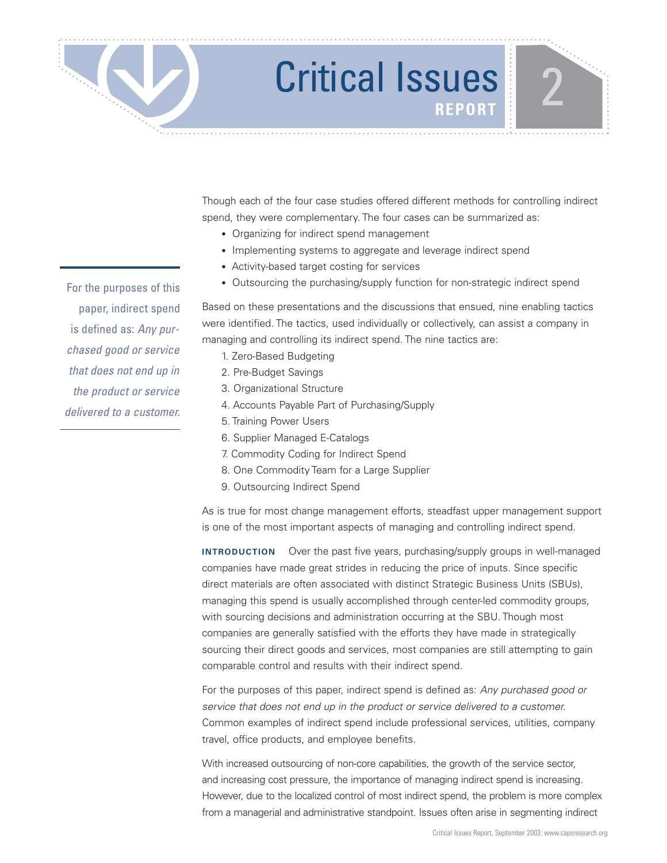Though each of the four case studies offered different methods for controlling indirect spend, they were complementary. The four cases can be summarized as:

- Organizing for indirect spend management
- Implementing systems to aggregate and leverage indirect spend
- Activity-based target costing for services
- Outsourcing the purchasing/supply function for non-strategic indirect spend

Based on these presentations and the discussions that ensued, nine enabling tactics were identified. The tactics, used individually or collectively, can assist a company in managing and controlling its indirect spend. The nine tactics are:

- 1. Zero-Based Budgeting
- 2. Pre-Budget Savings
- 3. Organizational Structure
- 4. Accounts Payable Part of Purchasing/Supply
- 5. Training Power Users
- 6. Supplier Managed E-Catalogs
- 7. Commodity Coding for Indirect Spend
- 8. One Commodity Team for a Large Supplier
- 9. Outsourcing Indirect Spend

As is true for most change management efforts, steadfast upper management support is one of the most important aspects of managing and controlling indirect spend.

**INTRODUCTION** Over the past five years, purchasing/supply groups in well-managed companies have made great strides in reducing the price of inputs. Since specific direct materials are often associated with distinct Strategic Business Units (SBUs), managing this spend is usually accomplished through center-led commodity groups, with sourcing decisions and administration occurring at the SBU. Though most companies are generally satisfied with the efforts they have made in strategically sourcing their direct goods and services, most companies are still attempting to gain comparable control and results with their indirect spend.

For the purposes of this paper, indirect spend is defined as: Any purchased good or service that does not end up in the product or service delivered to a customer. Common examples of indirect spend include professional services, utilities, company travel, office products, and employee benefits.

With increased outsourcing of non-core capabilities, the growth of the service sector, and increasing cost pressure, the importance of managing indirect spend is increasing. However, due to the localized control of most indirect spend, the problem is more complex from a managerial and administrative standpoint. Issues often arise in segmenting indirect

For the purposes of this paper, indirect spend is defined as: Any purchased good or service that does not end up in the product or service delivered to a customer.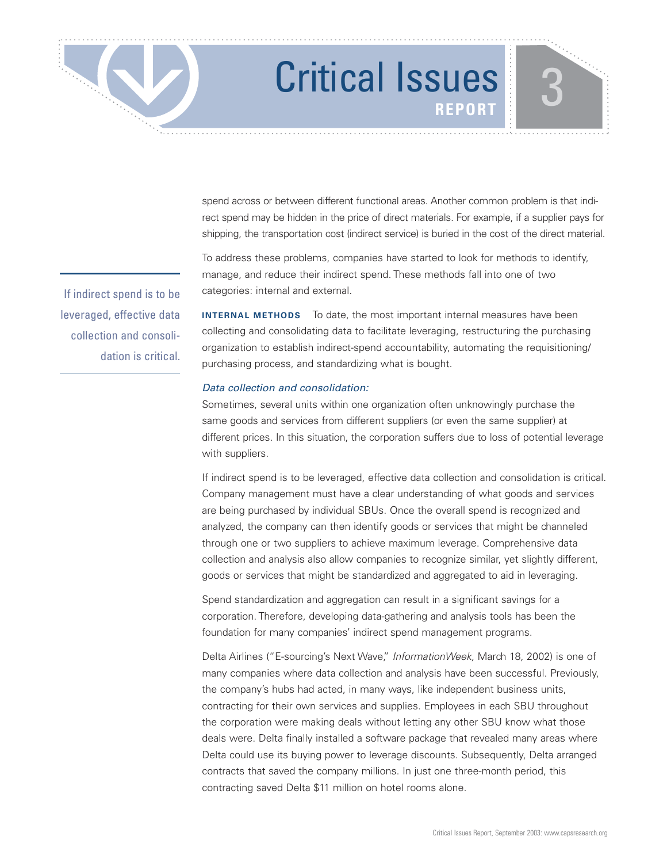spend across or between different functional areas. Another common problem is that indirect spend may be hidden in the price of direct materials. For example, if a supplier pays for shipping, the transportation cost (indirect service) is buried in the cost of the direct material.

To address these problems, companies have started to look for methods to identify, manage, and reduce their indirect spend. These methods fall into one of two categories: internal and external.

**INTERNAL METHODS** To date, the most important internal measures have been collecting and consolidating data to facilitate leveraging, restructuring the purchasing organization to establish indirect-spend accountability, automating the requisitioning/ purchasing process, and standardizing what is bought.

### Data collection and consolidation:

Sometimes, several units within one organization often unknowingly purchase the same goods and services from different suppliers (or even the same supplier) at different prices. In this situation, the corporation suffers due to loss of potential leverage with suppliers.

If indirect spend is to be leveraged, effective data collection and consolidation is critical. Company management must have a clear understanding of what goods and services are being purchased by individual SBUs. Once the overall spend is recognized and analyzed, the company can then identify goods or services that might be channeled through one or two suppliers to achieve maximum leverage. Comprehensive data collection and analysis also allow companies to recognize similar, yet slightly different, goods or services that might be standardized and aggregated to aid in leveraging.

Spend standardization and aggregation can result in a significant savings for a corporation. Therefore, developing data-gathering and analysis tools has been the foundation for many companies' indirect spend management programs.

Delta Airlines ("E-sourcing's Next Wave," InformationWeek, March 18, 2002) is one of many companies where data collection and analysis have been successful. Previously, the company's hubs had acted, in many ways, like independent business units, contracting for their own services and supplies. Employees in each SBU throughout the corporation were making deals without letting any other SBU know what those deals were. Delta finally installed a software package that revealed many areas where Delta could use its buying power to leverage discounts. Subsequently, Delta arranged contracts that saved the company millions. In just one three-month period, this contracting saved Delta \$11 million on hotel rooms alone.

If indirect spend is to be leveraged, effective data collection and consolidation is critical.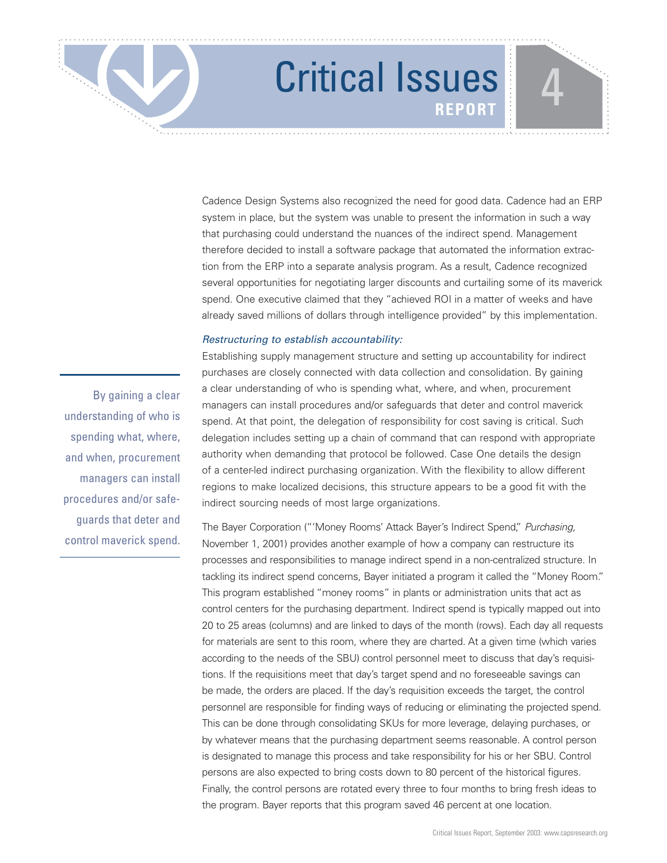Cadence Design Systems also recognized the need for good data. Cadence had an ERP system in place, but the system was unable to present the information in such a way that purchasing could understand the nuances of the indirect spend. Management therefore decided to install a software package that automated the information extraction from the ERP into a separate analysis program. As a result, Cadence recognized several opportunities for negotiating larger discounts and curtailing some of its maverick spend. One executive claimed that they "achieved ROI in a matter of weeks and have already saved millions of dollars through intelligence provided" by this implementation.

### Restructuring to establish accountability:

By gaining a clear understanding of who is spending what, where, and when, procurement managers can install procedures and/or safeguards that deter and control maverick spend.

Establishing supply management structure and setting up accountability for indirect purchases are closely connected with data collection and consolidation. By gaining a clear understanding of who is spending what, where, and when, procurement managers can install procedures and/or safeguards that deter and control maverick spend. At that point, the delegation of responsibility for cost saving is critical. Such delegation includes setting up a chain of command that can respond with appropriate authority when demanding that protocol be followed. Case One details the design of a center-led indirect purchasing organization. With the flexibility to allow different regions to make localized decisions, this structure appears to be a good fit with the indirect sourcing needs of most large organizations.

The Bayer Corporation ("'Money Rooms' Attack Bayer's Indirect Spend," Purchasing, November 1, 2001) provides another example of how a company can restructure its processes and responsibilities to manage indirect spend in a non-centralized structure. In tackling its indirect spend concerns, Bayer initiated a program it called the "Money Room." This program established "money rooms" in plants or administration units that act as control centers for the purchasing department. Indirect spend is typically mapped out into 20 to 25 areas (columns) and are linked to days of the month (rows). Each day all requests for materials are sent to this room, where they are charted. At a given time (which varies according to the needs of the SBU) control personnel meet to discuss that day's requisitions. If the requisitions meet that day's target spend and no foreseeable savings can be made, the orders are placed. If the day's requisition exceeds the target, the control personnel are responsible for finding ways of reducing or eliminating the projected spend. This can be done through consolidating SKUs for more leverage, delaying purchases, or by whatever means that the purchasing department seems reasonable. A control person is designated to manage this process and take responsibility for his or her SBU. Control persons are also expected to bring costs down to 80 percent of the historical figures. Finally, the control persons are rotated every three to four months to bring fresh ideas to the program. Bayer reports that this program saved 46 percent at one location.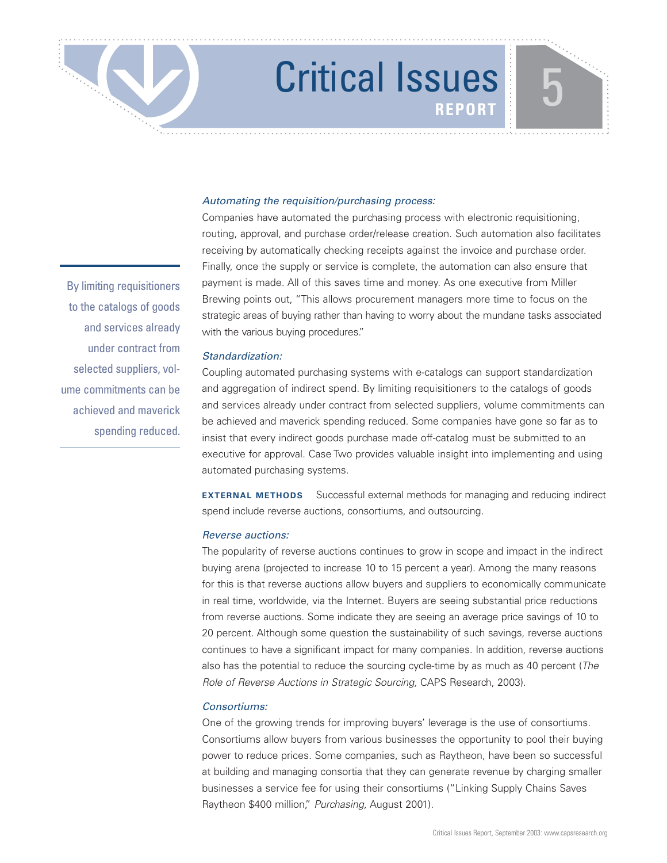### Automating the requisition/purchasing process:

Companies have automated the purchasing process with electronic requisitioning, routing, approval, and purchase order/release creation. Such automation also facilitates receiving by automatically checking receipts against the invoice and purchase order. Finally, once the supply or service is complete, the automation can also ensure that payment is made. All of this saves time and money. As one executive from Miller Brewing points out, "This allows procurement managers more time to focus on the strategic areas of buying rather than having to worry about the mundane tasks associated with the various buying procedures."

### Standardization:

Coupling automated purchasing systems with e-catalogs can support standardization and aggregation of indirect spend. By limiting requisitioners to the catalogs of goods and services already under contract from selected suppliers, volume commitments can be achieved and maverick spending reduced. Some companies have gone so far as to insist that every indirect goods purchase made off-catalog must be submitted to an executive for approval. Case Two provides valuable insight into implementing and using automated purchasing systems.

**EXTERNAL METHODS** Successful external methods for managing and reducing indirect spend include reverse auctions, consortiums, and outsourcing.

### Reverse auctions:

The popularity of reverse auctions continues to grow in scope and impact in the indirect buying arena (projected to increase 10 to 15 percent a year). Among the many reasons for this is that reverse auctions allow buyers and suppliers to economically communicate in real time, worldwide, via the Internet. Buyers are seeing substantial price reductions from reverse auctions. Some indicate they are seeing an average price savings of 10 to 20 percent. Although some question the sustainability of such savings, reverse auctions continues to have a significant impact for many companies. In addition, reverse auctions also has the potential to reduce the sourcing cycle-time by as much as 40 percent (The Role of Reverse Auctions in Strategic Sourcing, CAPS Research, 2003).

### Consortiums:

One of the growing trends for improving buyers' leverage is the use of consortiums. Consortiums allow buyers from various businesses the opportunity to pool their buying power to reduce prices. Some companies, such as Raytheon, have been so successful at building and managing consortia that they can generate revenue by charging smaller businesses a service fee for using their consortiums ("Linking Supply Chains Saves Raytheon \$400 million," Purchasing, August 2001).

By limiting requisitioners to the catalogs of goods and services already under contract from selected suppliers, volume commitments can be achieved and maverick spending reduced.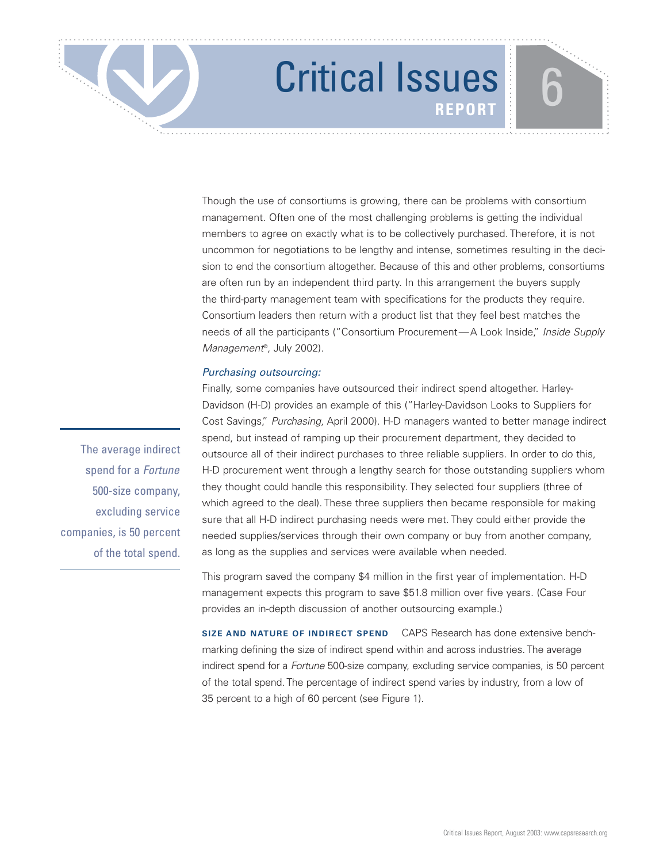Though the use of consortiums is growing, there can be problems with consortium management. Often one of the most challenging problems is getting the individual members to agree on exactly what is to be collectively purchased. Therefore, it is not uncommon for negotiations to be lengthy and intense, sometimes resulting in the decision to end the consortium altogether. Because of this and other problems, consortiums are often run by an independent third party. In this arrangement the buyers supply the third-party management team with specifications for the products they require. Consortium leaders then return with a product list that they feel best matches the needs of all the participants ("Consortium Procurement—A Look Inside," Inside Supply Management®, July 2002).

### Purchasing outsourcing:

Finally, some companies have outsourced their indirect spend altogether. Harley-Davidson (H-D) provides an example of this ("Harley-Davidson Looks to Suppliers for Cost Savings," Purchasing, April 2000). H-D managers wanted to better manage indirect spend, but instead of ramping up their procurement department, they decided to outsource all of their indirect purchases to three reliable suppliers. In order to do this, H-D procurement went through a lengthy search for those outstanding suppliers whom they thought could handle this responsibility. They selected four suppliers (three of which agreed to the deal). These three suppliers then became responsible for making sure that all H-D indirect purchasing needs were met. They could either provide the needed supplies/services through their own company or buy from another company, as long as the supplies and services were available when needed.

This program saved the company \$4 million in the first year of implementation. H-D management expects this program to save \$51.8 million over five years. (Case Four provides an in-depth discussion of another outsourcing example.)

**SIZE AND NATURE OF INDIRECT SPEND** CAPS Research has done extensive benchmarking defining the size of indirect spend within and across industries. The average indirect spend for a Fortune 500-size company, excluding service companies, is 50 percent of the total spend. The percentage of indirect spend varies by industry, from a low of 35 percent to a high of 60 percent (see Figure 1).

The average indirect spend for a Fortune 500-size company, excluding service companies, is 50 percent of the total spend.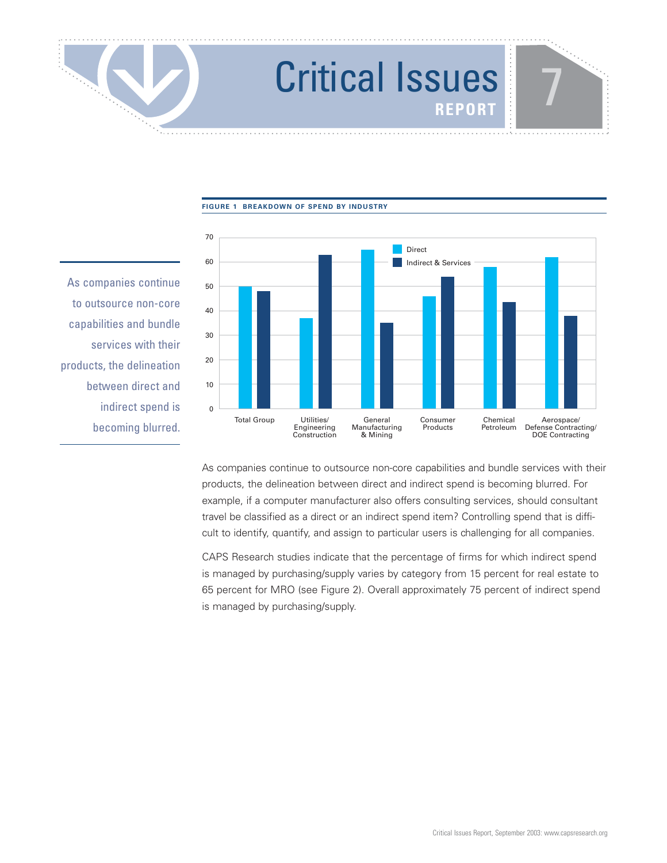**FIGURE 1 BREAKDOWN OF SPEND BY INDUSTRY**

 $\overline{0}$ 10 20 30 40 50  $60$ 70 Aerospace/ Defense Contracting/ DOE Contracting Chemical Petroleum Consumer Products General Manufacturing & Mining Utilities/ Engineering Construction Total Group Direct Indirect & Services

As companies continue to outsource non-core capabilities and bundle services with their products, the delineation between direct and indirect spend is becoming blurred.

> As companies continue to outsource non-core capabilities and bundle services with their products, the delineation between direct and indirect spend is becoming blurred. For example, if a computer manufacturer also offers consulting services, should consultant travel be classified as a direct or an indirect spend item? Controlling spend that is difficult to identify, quantify, and assign to particular users is challenging for all companies.

CAPS Research studies indicate that the percentage of firms for which indirect spend is managed by purchasing/supply varies by category from 15 percent for real estate to 65 percent for MRO (see Figure 2). Overall approximately 75 percent of indirect spend is managed by purchasing/supply.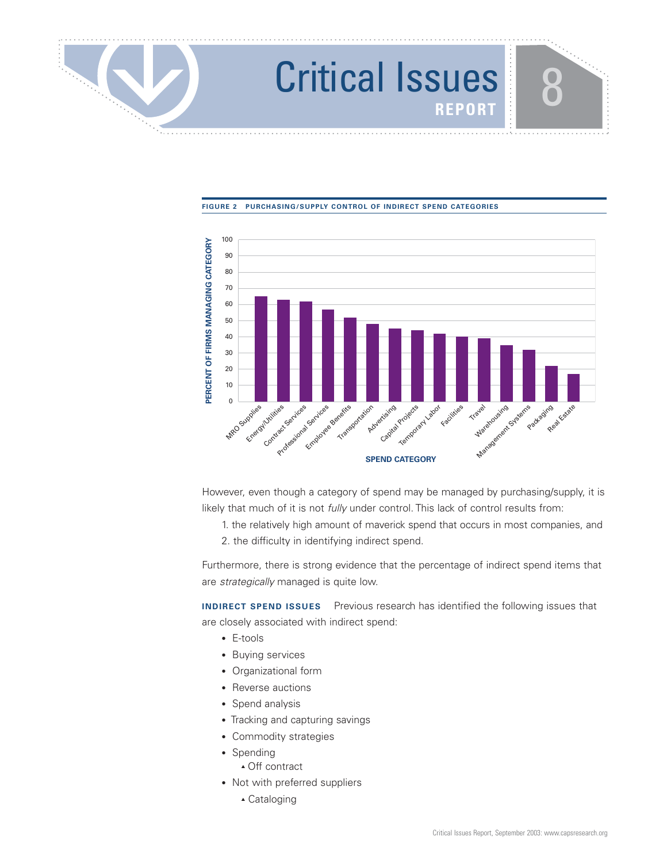### **FIGURE 2 PURCHASING/SUPPLY CONTROL OF INDIRECT SPEND CATEGORIES**



However, even though a category of spend may be managed by purchasing/supply, it is likely that much of it is not fully under control. This lack of control results from:

- 1. the relatively high amount of maverick spend that occurs in most companies, and
- 2. the difficulty in identifying indirect spend.

Furthermore, there is strong evidence that the percentage of indirect spend items that are strategically managed is quite low.

**INDIRECT SPEND ISSUES** Previous research has identified the following issues that are closely associated with indirect spend:

- E-tools
- Buying services
- Organizational form
- Reverse auctions
- Spend analysis
- Tracking and capturing savings
- Commodity strategies
- Spending
	- ▲ Off contract
- Not with preferred suppliers
	- ▲ Cataloging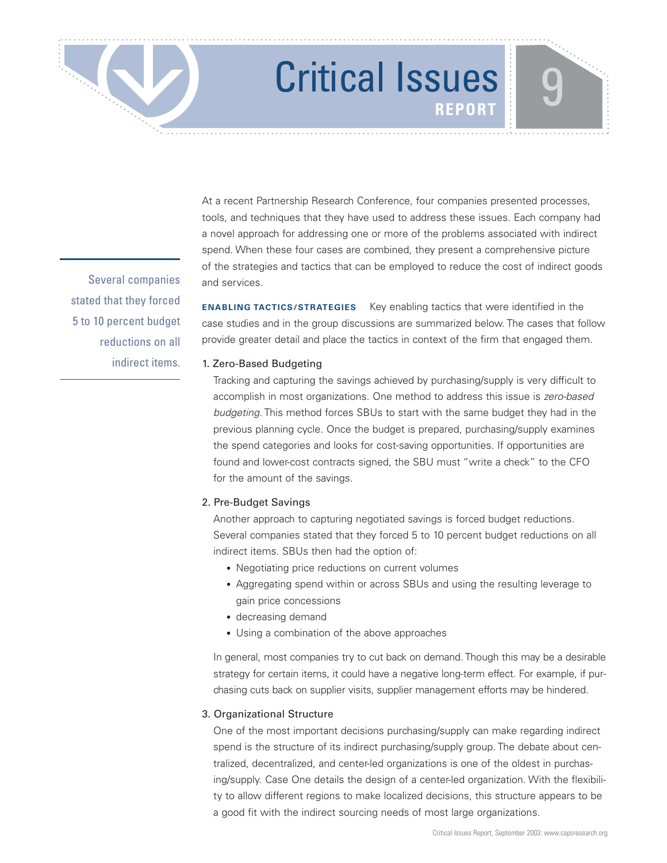Several companies stated that they forced 5 to 10 percent budget reductions on all indirect items.

At a recent Partnership Research Conference, four companies presented processes, tools, and techniques that they have used to address these issues. Each company had a novel approach for addressing one or more of the problems associated with indirect spend. When these four cases are combined, they present a comprehensive picture of the strategies and tactics that can be employed to reduce the cost of indirect goods and services.

**ENABLING TACTICS/STRATEGIES** Key enabling tactics that were identified in the case studies and in the group discussions are summarized below. The cases that follow provide greater detail and place the tactics in context of the firm that engaged them.

### 1. Zero-Based Budgeting

Tracking and capturing the savings achieved by purchasing/supply is very difficult to accomplish in most organizations. One method to address this issue is zero-based budgeting. This method forces SBUs to start with the same budget they had in the previous planning cycle. Once the budget is prepared, purchasing/supply examines the spend categories and looks for cost-saving opportunities. If opportunities are found and lower-cost contracts signed, the SBU must "write a check" to the CFO for the amount of the savings.

### 2. Pre-Budget Savings

Another approach to capturing negotiated savings is forced budget reductions. Several companies stated that they forced 5 to 10 percent budget reductions on all indirect items. SBUs then had the option of:

- Negotiating price reductions on current volumes
- Aggregating spend within or across SBUs and using the resulting leverage to gain price concessions
- decreasing demand
- Using a combination of the above approaches

In general, most companies try to cut back on demand. Though this may be a desirable strategy for certain items, it could have a negative long-term effect. For example, if purchasing cuts back on supplier visits, supplier management efforts may be hindered.

### 3. Organizational Structure

One of the most important decisions purchasing/supply can make regarding indirect spend is the structure of its indirect purchasing/supply group. The debate about centralized, decentralized, and center-led organizations is one of the oldest in purchasing/supply. Case One details the design of a center-led organization. With the flexibility to allow different regions to make localized decisions, this structure appears to be a good fit with the indirect sourcing needs of most large organizations.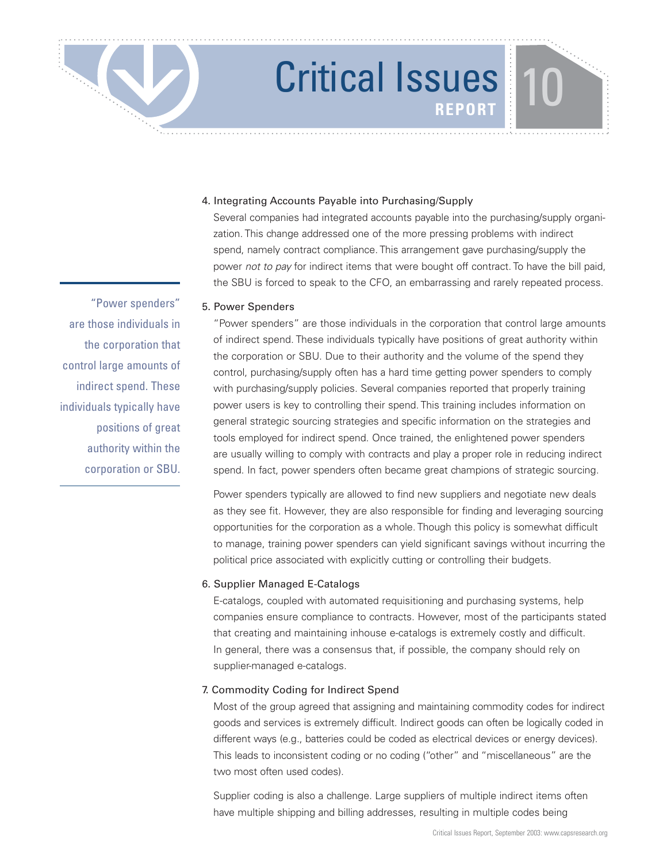### 4. Integrating Accounts Payable into Purchasing/Supply

Several companies had integrated accounts payable into the purchasing/supply organization. This change addressed one of the more pressing problems with indirect spend, namely contract compliance. This arrangement gave purchasing/supply the power not to pay for indirect items that were bought off contract. To have the bill paid, the SBU is forced to speak to the CFO, an embarrassing and rarely repeated process.

### 5. Power Spenders

"Power spenders" are those individuals in the corporation that control large amounts of indirect spend. These individuals typically have positions of great authority within the corporation or SBU. Due to their authority and the volume of the spend they control, purchasing/supply often has a hard time getting power spenders to comply with purchasing/supply policies. Several companies reported that properly training power users is key to controlling their spend. This training includes information on general strategic sourcing strategies and specific information on the strategies and tools employed for indirect spend. Once trained, the enlightened power spenders are usually willing to comply with contracts and play a proper role in reducing indirect spend. In fact, power spenders often became great champions of strategic sourcing.

Power spenders typically are allowed to find new suppliers and negotiate new deals as they see fit. However, they are also responsible for finding and leveraging sourcing opportunities for the corporation as a whole. Though this policy is somewhat difficult to manage, training power spenders can yield significant savings without incurring the political price associated with explicitly cutting or controlling their budgets.

### 6. Supplier Managed E-Catalogs

E-catalogs, coupled with automated requisitioning and purchasing systems, help companies ensure compliance to contracts. However, most of the participants stated that creating and maintaining inhouse e-catalogs is extremely costly and difficult. In general, there was a consensus that, if possible, the company should rely on supplier-managed e-catalogs.

### 7. Commodity Coding for Indirect Spend

Most of the group agreed that assigning and maintaining commodity codes for indirect goods and services is extremely difficult. Indirect goods can often be logically coded in different ways (e.g., batteries could be coded as electrical devices or energy devices). This leads to inconsistent coding or no coding ("other" and "miscellaneous" are the two most often used codes).

Supplier coding is also a challenge. Large suppliers of multiple indirect items often have multiple shipping and billing addresses, resulting in multiple codes being

"Power spenders" are those individuals in the corporation that control large amounts of indirect spend. These individuals typically have positions of great authority within the corporation or SBU.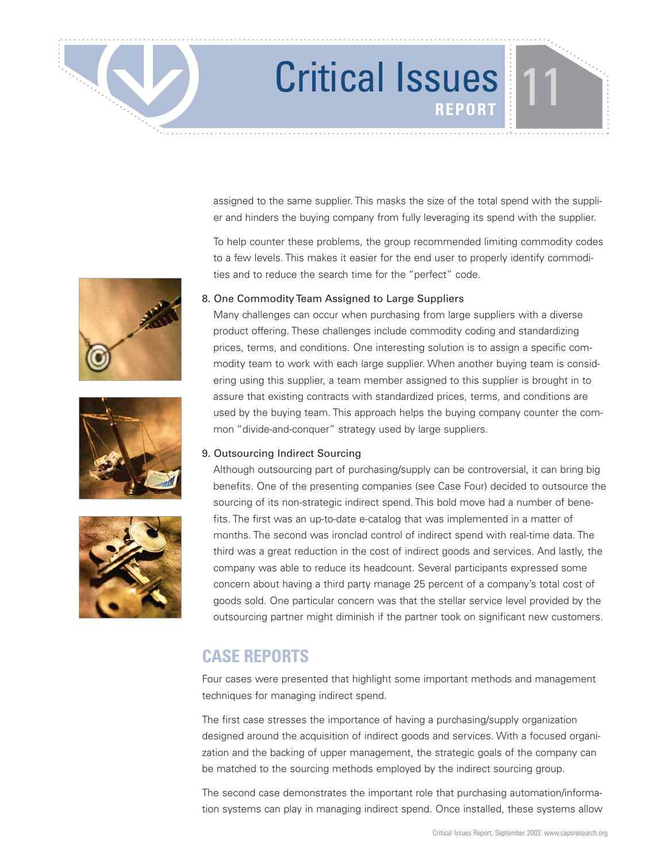assigned to the same supplier. This masks the size of the total spend with the supplier and hinders the buying company from fully leveraging its spend with the supplier.

To help counter these problems, the group recommended limiting commodity codes to a few levels. This makes it easier for the end user to properly identify commodities and to reduce the search time for the "perfect" code.

### 8. One Commodity Team Assigned to Large Suppliers

Many challenges can occur when purchasing from large suppliers with a diverse product offering. These challenges include commodity coding and standardizing prices, terms, and conditions. One interesting solution is to assign a specific commodity team to work with each large supplier. When another buying team is considering using this supplier, a team member assigned to this supplier is brought in to assure that existing contracts with standardized prices, terms, and conditions are used by the buying team. This approach helps the buying company counter the common "divide-and-conquer" strategy used by large suppliers.

### 9. Outsourcing Indirect Sourcing

Although outsourcing part of purchasing/supply can be controversial, it can bring big benefits. One of the presenting companies (see Case Four) decided to outsource the sourcing of its non-strategic indirect spend. This bold move had a number of benefits. The first was an up-to-date e-catalog that was implemented in a matter of months. The second was ironclad control of indirect spend with real-time data. The third was a great reduction in the cost of indirect goods and services. And lastly, the company was able to reduce its headcount. Several participants expressed some concern about having a third party manage 25 percent of a company's total cost of goods sold. One particular concern was that the stellar service level provided by the outsourcing partner might diminish if the partner took on significant new customers.

### **CASE REPORTS**

Four cases were presented that highlight some important methods and management techniques for managing indirect spend.

The first case stresses the importance of having a purchasing/supply organization designed around the acquisition of indirect goods and services. With a focused organization and the backing of upper management, the strategic goals of the company can be matched to the sourcing methods employed by the indirect sourcing group.

The second case demonstrates the important role that purchasing automation/information systems can play in managing indirect spend. Once installed, these systems allow





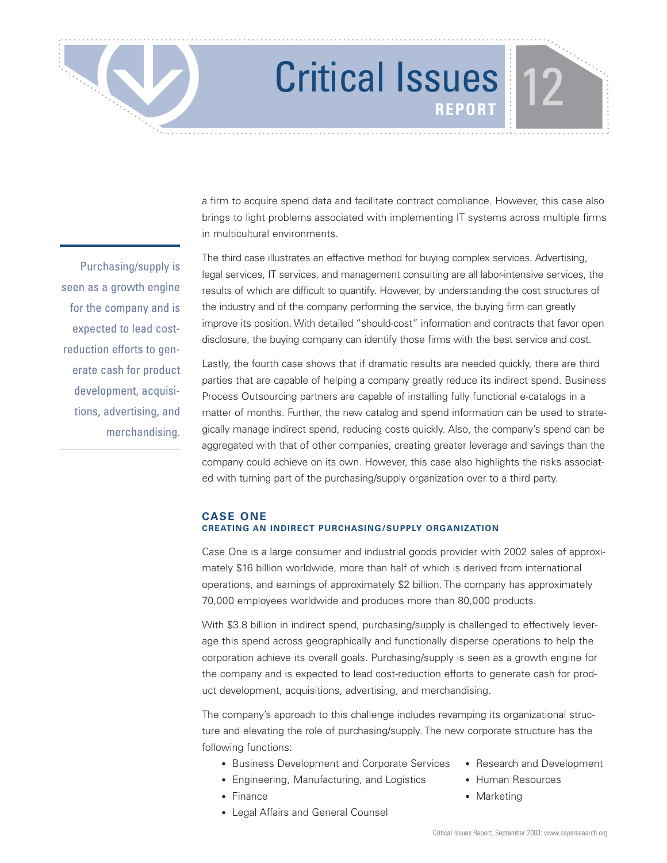a firm to acquire spend data and facilitate contract compliance. However, this case also brings to light problems associated with implementing IT systems across multiple firms in multicultural environments.

The third case illustrates an effective method for buying complex services. Advertising, legal services, IT services, and management consulting are all labor-intensive services, the results of which are difficult to quantify. However, by understanding the cost structures of the industry and of the company performing the service, the buying firm can greatly improve its position. With detailed "should-cost" information and contracts that favor open disclosure, the buying company can identify those firms with the best service and cost.

Lastly, the fourth case shows that if dramatic results are needed quickly, there are third parties that are capable of helping a company greatly reduce its indirect spend. Business Process Outsourcing partners are capable of installing fully functional e-catalogs in a matter of months. Further, the new catalog and spend information can be used to strategically manage indirect spend, reducing costs quickly. Also, the company's spend can be aggregated with that of other companies, creating greater leverage and savings than the company could achieve on its own. However, this case also highlights the risks associated with turning part of the purchasing/supply organization over to a third party.

### **CASE ONE CREATING AN INDIRECT PURCHASING/SUPPLY ORGANIZATION**

Case One is a large consumer and industrial goods provider with 2002 sales of approximately \$16 billion worldwide, more than half of which is derived from international operations, and earnings of approximately \$2 billion. The company has approximately 70,000 employees worldwide and produces more than 80,000 products.

With \$3.8 billion in indirect spend, purchasing/supply is challenged to effectively leverage this spend across geographically and functionally disperse operations to help the corporation achieve its overall goals. Purchasing/supply is seen as a growth engine for the company and is expected to lead cost-reduction efforts to generate cash for product development, acquisitions, advertising, and merchandising.

The company's approach to this challenge includes revamping its organizational structure and elevating the role of purchasing/supply. The new corporate structure has the following functions:

- Business Development and Corporate Services Research and Development
- Engineering, Manufacturing, and Logistics Human Resources
- 
- Legal Affairs and General Counsel
- 
- 
- Finance Marketing

Purchasing/supply is seen as a growth engine for the company and is expected to lead costreduction efforts to generate cash for product development, acquisitions, advertising, and merchandising.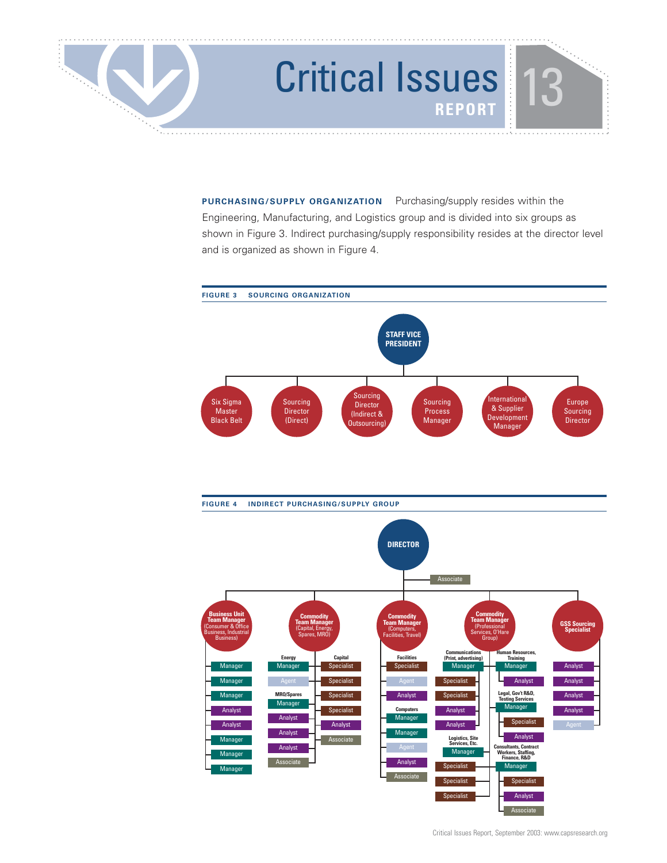

**PURCHASING/SUPPLY ORGANIZATION** Purchasing/supply resides within the Engineering, Manufacturing, and Logistics group and is divided into six groups as shown in Figure 3. Indirect purchasing/supply responsibility resides at the director level and is organized as shown in Figure 4.

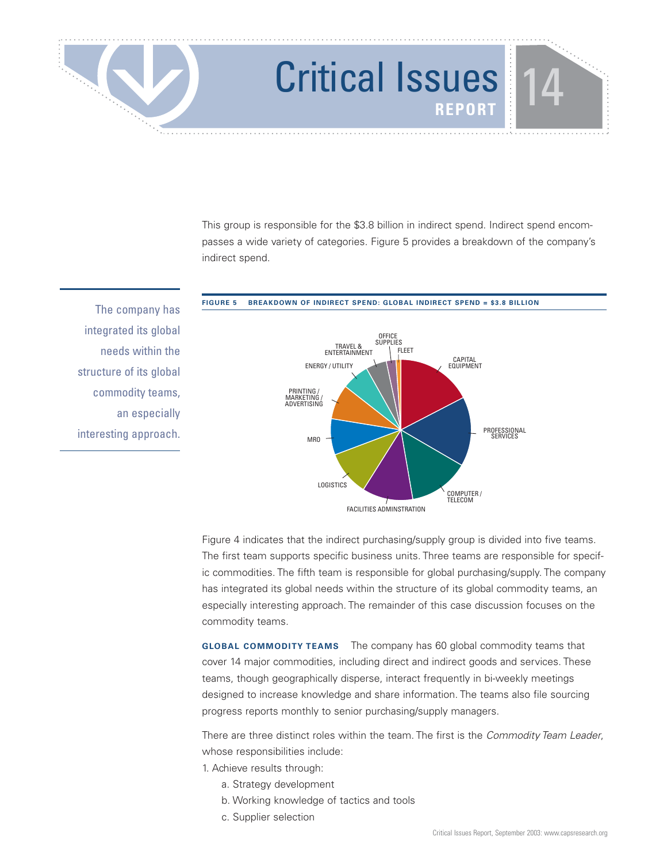This group is responsible for the \$3.8 billion in indirect spend. Indirect spend encompasses a wide variety of categories. Figure 5 provides a breakdown of the company's indirect spend.

The company has integrated its global needs within the structure of its global commodity teams, an especially interesting approach.



Figure 4 indicates that the indirect purchasing/supply group is divided into five teams. The first team supports specific business units. Three teams are responsible for specific commodities. The fifth team is responsible for global purchasing/supply. The company has integrated its global needs within the structure of its global commodity teams, an especially interesting approach. The remainder of this case discussion focuses on the commodity teams.

**GLOBAL COMMODITY TEAMS** The company has 60 global commodity teams that cover 14 major commodities, including direct and indirect goods and services. These teams, though geographically disperse, interact frequently in bi-weekly meetings designed to increase knowledge and share information. The teams also file sourcing progress reports monthly to senior purchasing/supply managers.

There are three distinct roles within the team. The first is the Commodity Team Leader, whose responsibilities include:

- 1. Achieve results through:
	- a. Strategy development
	- b. Working knowledge of tactics and tools
	- c. Supplier selection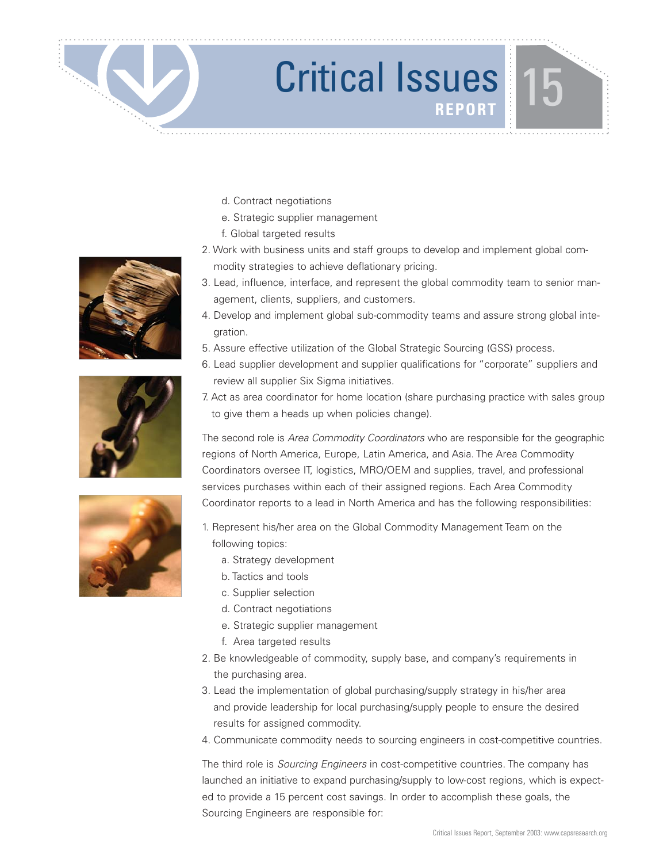- d. Contract negotiations
- e. Strategic supplier management
- f. Global targeted results
- 2. Work with business units and staff groups to develop and implement global commodity strategies to achieve deflationary pricing.
- 3. Lead, influence, interface, and represent the global commodity team to senior management, clients, suppliers, and customers.
- 4. Develop and implement global sub-commodity teams and assure strong global integration.
- 5. Assure effective utilization of the Global Strategic Sourcing (GSS) process.
- 6. Lead supplier development and supplier qualifications for "corporate" suppliers and review all supplier Six Sigma initiatives.
- 7. Act as area coordinator for home location (share purchasing practice with sales group to give them a heads up when policies change).

The second role is Area Commodity Coordinators who are responsible for the geographic regions of North America, Europe, Latin America, and Asia. The Area Commodity Coordinators oversee IT, logistics, MRO/OEM and supplies, travel, and professional services purchases within each of their assigned regions. Each Area Commodity Coordinator reports to a lead in North America and has the following responsibilities:

1. Represent his/her area on the Global Commodity Management Team on the following topics:

- a. Strategy development
- b. Tactics and tools
- c. Supplier selection
- d. Contract negotiations
- e. Strategic supplier management
- f. Area targeted results
- 2. Be knowledgeable of commodity, supply base, and company's requirements in the purchasing area.
- 3. Lead the implementation of global purchasing/supply strategy in his/her area and provide leadership for local purchasing/supply people to ensure the desired results for assigned commodity.
- 4. Communicate commodity needs to sourcing engineers in cost-competitive countries.

The third role is *Sourcing Engineers* in cost-competitive countries. The company has launched an initiative to expand purchasing/supply to low-cost regions, which is expected to provide a 15 percent cost savings. In order to accomplish these goals, the Sourcing Engineers are responsible for:





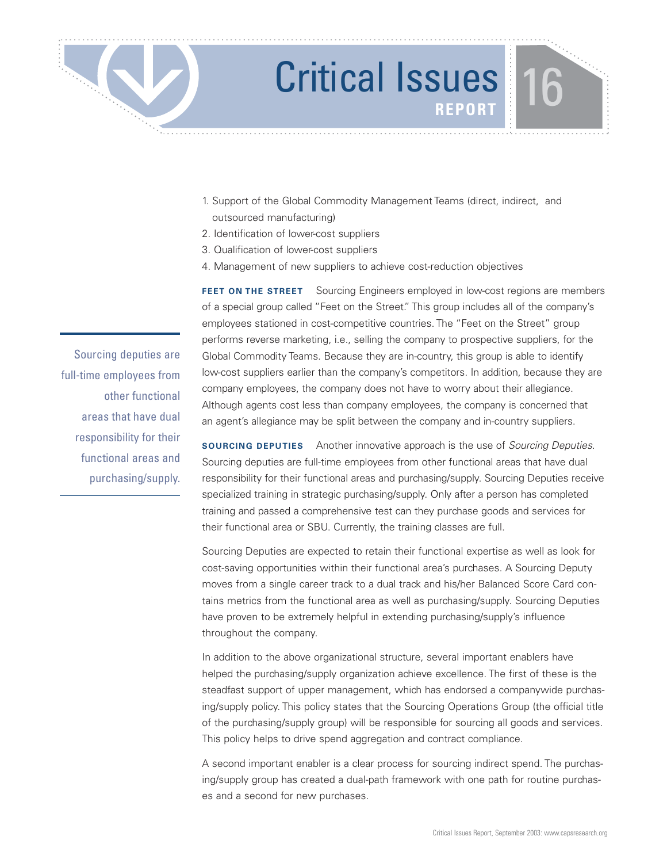

- 1. Support of the Global Commodity Management Teams (direct, indirect, and outsourced manufacturing)
- 2. Identification of lower-cost suppliers
- 3. Qualification of lower-cost suppliers
- 4. Management of new suppliers to achieve cost-reduction objectives

**FEET ON THE STREET** Sourcing Engineers employed in low-cost regions are members of a special group called "Feet on the Street." This group includes all of the company's employees stationed in cost-competitive countries. The "Feet on the Street" group performs reverse marketing, i.e., selling the company to prospective suppliers, for the Global Commodity Teams. Because they are in-country, this group is able to identify low-cost suppliers earlier than the company's competitors. In addition, because they are company employees, the company does not have to worry about their allegiance. Although agents cost less than company employees, the company is concerned that an agent's allegiance may be split between the company and in-country suppliers.

**SOURCING DEPUTIES** Another innovative approach is the use of *Sourcing Deputies*. Sourcing deputies are full-time employees from other functional areas that have dual responsibility for their functional areas and purchasing/supply. Sourcing Deputies receive specialized training in strategic purchasing/supply. Only after a person has completed training and passed a comprehensive test can they purchase goods and services for their functional area or SBU. Currently, the training classes are full.

Sourcing Deputies are expected to retain their functional expertise as well as look for cost-saving opportunities within their functional area's purchases. A Sourcing Deputy moves from a single career track to a dual track and his/her Balanced Score Card contains metrics from the functional area as well as purchasing/supply. Sourcing Deputies have proven to be extremely helpful in extending purchasing/supply's influence throughout the company.

In addition to the above organizational structure, several important enablers have helped the purchasing/supply organization achieve excellence. The first of these is the steadfast support of upper management, which has endorsed a companywide purchasing/supply policy. This policy states that the Sourcing Operations Group (the official title of the purchasing/supply group) will be responsible for sourcing all goods and services. This policy helps to drive spend aggregation and contract compliance.

A second important enabler is a clear process for sourcing indirect spend. The purchasing/supply group has created a dual-path framework with one path for routine purchases and a second for new purchases.

Sourcing deputies are full-time employees from other functional areas that have dual responsibility for their functional areas and purchasing/supply.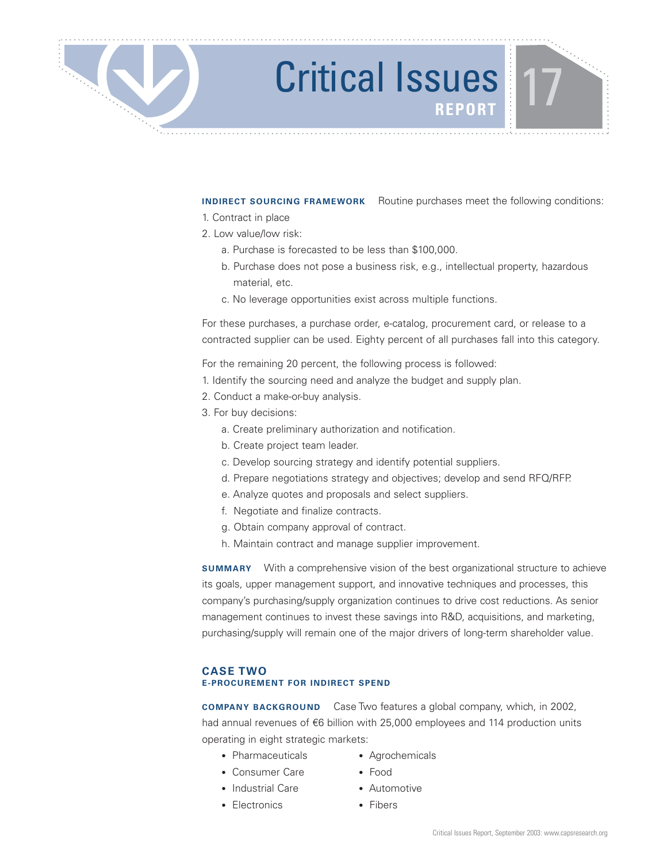**INDIRECT SOURCING FRAMEWORK** Routine purchases meet the following conditions:

- 1. Contract in place
- 2. Low value/low risk:
	- a. Purchase is forecasted to be less than \$100,000.
	- b. Purchase does not pose a business risk, e.g., intellectual property, hazardous material, etc.
	- c. No leverage opportunities exist across multiple functions.

For these purchases, a purchase order, e-catalog, procurement card, or release to a contracted supplier can be used. Eighty percent of all purchases fall into this category.

For the remaining 20 percent, the following process is followed:

- 1. Identify the sourcing need and analyze the budget and supply plan.
- 2. Conduct a make-or-buy analysis.
- 3. For buy decisions:
	- a. Create preliminary authorization and notification.
	- b. Create project team leader.
	- c. Develop sourcing strategy and identify potential suppliers.
	- d. Prepare negotiations strategy and objectives; develop and send RFQ/RFP.
	- e. Analyze quotes and proposals and select suppliers.
	- f. Negotiate and finalize contracts.
	- g. Obtain company approval of contract.
	- h. Maintain contract and manage supplier improvement.

**SUMMARY** With a comprehensive vision of the best organizational structure to achieve its goals, upper management support, and innovative techniques and processes, this company's purchasing/supply organization continues to drive cost reductions. As senior management continues to invest these savings into R&D, acquisitions, and marketing, purchasing/supply will remain one of the major drivers of long-term shareholder value.

### **CASE TWO E-PROCUREMENT FOR INDIRECT SPEND**

**COMPANY BACKGROUND** Case Two features a global company, which, in 2002, had annual revenues of €6 billion with 25,000 employees and 114 production units operating in eight strategic markets:

- Pharmaceuticals Agrochemicals
- Consumer Care Food
- -
- Industrial Care Automotive
- Electronics Fibers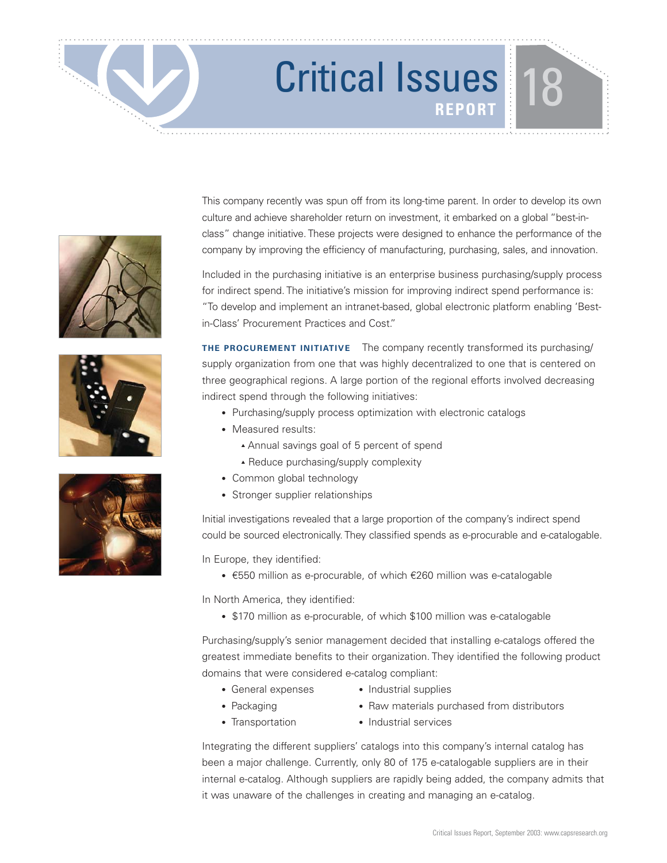





This company recently was spun off from its long-time parent. In order to develop its own culture and achieve shareholder return on investment, it embarked on a global "best-inclass" change initiative. These projects were designed to enhance the performance of the company by improving the efficiency of manufacturing, purchasing, sales, and innovation.

Included in the purchasing initiative is an enterprise business purchasing/supply process for indirect spend. The initiative's mission for improving indirect spend performance is: "To develop and implement an intranet-based, global electronic platform enabling 'Bestin-Class' Procurement Practices and Cost."

**THE PROCUREMENT INITIATIVE** The company recently transformed its purchasing/ supply organization from one that was highly decentralized to one that is centered on three geographical regions. A large portion of the regional efforts involved decreasing indirect spend through the following initiatives:

- Purchasing/supply process optimization with electronic catalogs
- Measured results:
	- ▲ Annual savings goal of 5 percent of spend
	- ▲ Reduce purchasing/supply complexity
- Common global technology
- Stronger supplier relationships

Initial investigations revealed that a large proportion of the company's indirect spend could be sourced electronically. They classified spends as e-procurable and e-catalogable.

In Europe, they identified:

• €550 million as e-procurable, of which €260 million was e-catalogable

In North America, they identified:

• \$170 million as e-procurable, of which \$100 million was e-catalogable

Purchasing/supply's senior management decided that installing e-catalogs offered the greatest immediate benefits to their organization. They identified the following product domains that were considered e-catalog compliant:

- General expenses Industrial supplies
- 
- 
- Packaging Raw materials purchased from distributors
- 
- Transportation Industrial services

Integrating the different suppliers' catalogs into this company's internal catalog has been a major challenge. Currently, only 80 of 175 e-catalogable suppliers are in their internal e-catalog. Although suppliers are rapidly being added, the company admits that it was unaware of the challenges in creating and managing an e-catalog.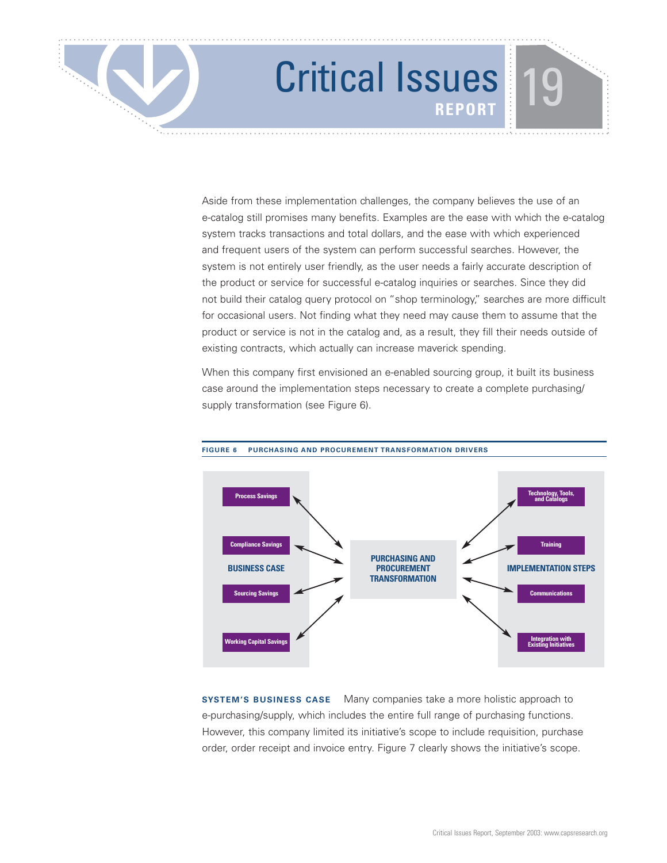Aside from these implementation challenges, the company believes the use of an e-catalog still promises many benefits. Examples are the ease with which the e-catalog system tracks transactions and total dollars, and the ease with which experienced and frequent users of the system can perform successful searches. However, the system is not entirely user friendly, as the user needs a fairly accurate description of the product or service for successful e-catalog inquiries or searches. Since they did not build their catalog query protocol on "shop terminology," searches are more difficult for occasional users. Not finding what they need may cause them to assume that the product or service is not in the catalog and, as a result, they fill their needs outside of existing contracts, which actually can increase maverick spending.

When this company first envisioned an e-enabled sourcing group, it built its business case around the implementation steps necessary to create a complete purchasing/ supply transformation (see Figure 6).



**FIGURE 6 PURCHASING AND PROCUREMENT TRANSFORMATION DRIVERS**

**SYSTEM'S BUSINESS CASE** Many companies take a more holistic approach to e-purchasing/supply, which includes the entire full range of purchasing functions. However, this company limited its initiative's scope to include requisition, purchase order, order receipt and invoice entry. Figure 7 clearly shows the initiative's scope.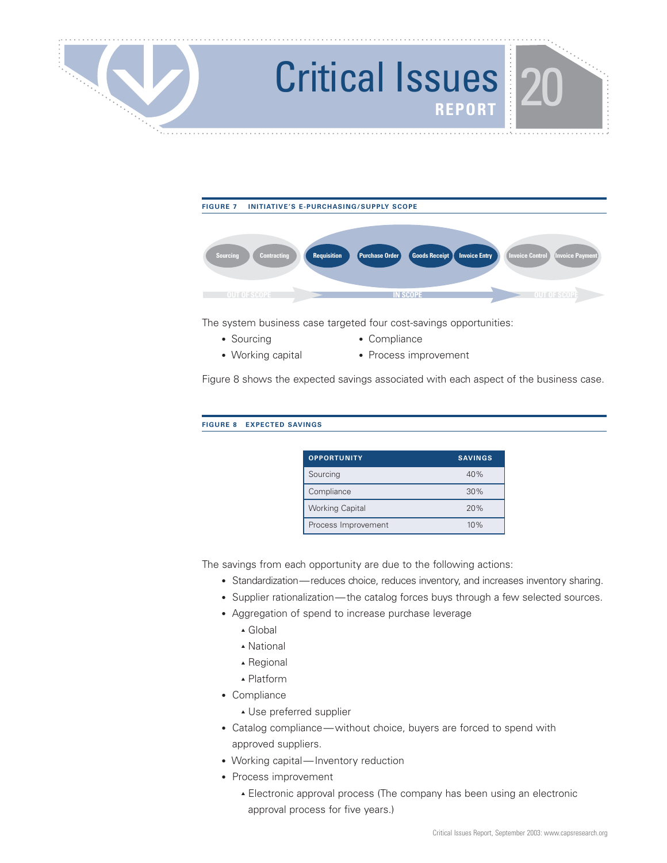



The system business case targeted four cost-savings opportunities:

- Sourcing Compliance
- Working capital Process improvement
	-

Figure 8 shows the expected savings associated with each aspect of the business case.

**FIGURE 8 EXPECTED SAVINGS**

| <b>OPPORTUNITY</b>     | <b>SAVINGS</b> |
|------------------------|----------------|
| Sourcing               | 40%            |
| Compliance             | 30%            |
| <b>Working Capital</b> | 20%            |
| Process Improvement    | 10%            |

The savings from each opportunity are due to the following actions:

- Standardization—reduces choice, reduces inventory, and increases inventory sharing.
- Supplier rationalization—the catalog forces buys through a few selected sources.
- Aggregation of spend to increase purchase leverage
	- ▲ Global
	- ▲ National
	- ▲ Regional
	- ▲ Platform
- Compliance
	- ▲ Use preferred supplier
- Catalog compliance—without choice, buyers are forced to spend with approved suppliers.
- Working capital—Inventory reduction
- Process improvement
	- ▲ Electronic approval process (The company has been using an electronic approval process for five years.)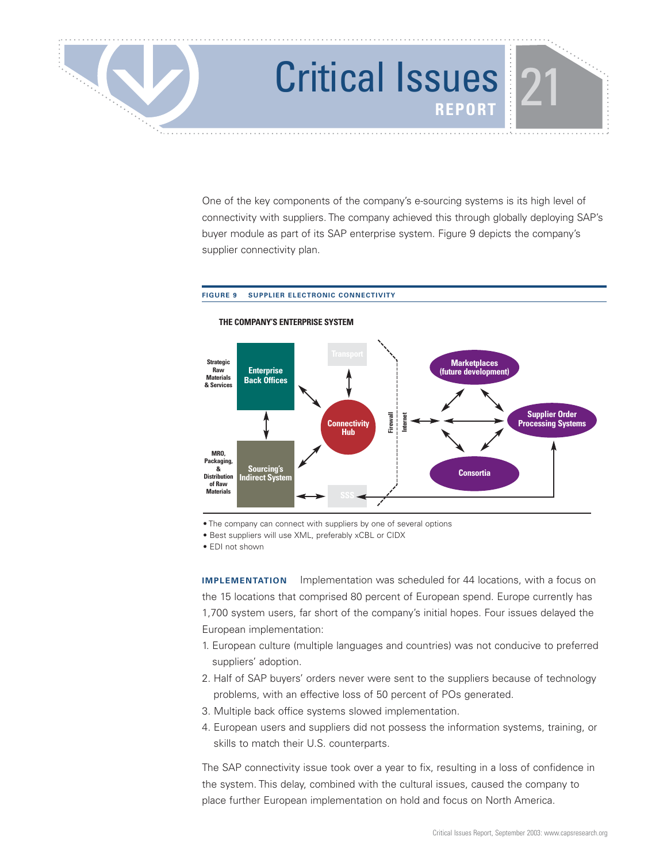

One of the key components of the company's e-sourcing systems is its high level of connectivity with suppliers. The company achieved this through globally deploying SAP's buyer module as part of its SAP enterprise system. Figure 9 depicts the company's supplier connectivity plan.

### **FIGURE 9 SUPPLIER ELECTRONIC CONNECTIVITY**



### **THE COMPANY'S ENTERPRISE SYSTEM**

• The company can connect with suppliers by one of several options

• Best suppliers will use XML, preferably xCBL or CIDX

• EDI not shown

**IMPLEMENTATION** Implementation was scheduled for 44 locations, with a focus on the 15 locations that comprised 80 percent of European spend. Europe currently has 1,700 system users, far short of the company's initial hopes. Four issues delayed the European implementation:

- 1. European culture (multiple languages and countries) was not conducive to preferred suppliers' adoption.
- 2. Half of SAP buyers' orders never were sent to the suppliers because of technology problems, with an effective loss of 50 percent of POs generated.
- 3. Multiple back office systems slowed implementation.
- 4. European users and suppliers did not possess the information systems, training, or skills to match their U.S. counterparts.

The SAP connectivity issue took over a year to fix, resulting in a loss of confidence in the system. This delay, combined with the cultural issues, caused the company to place further European implementation on hold and focus on North America.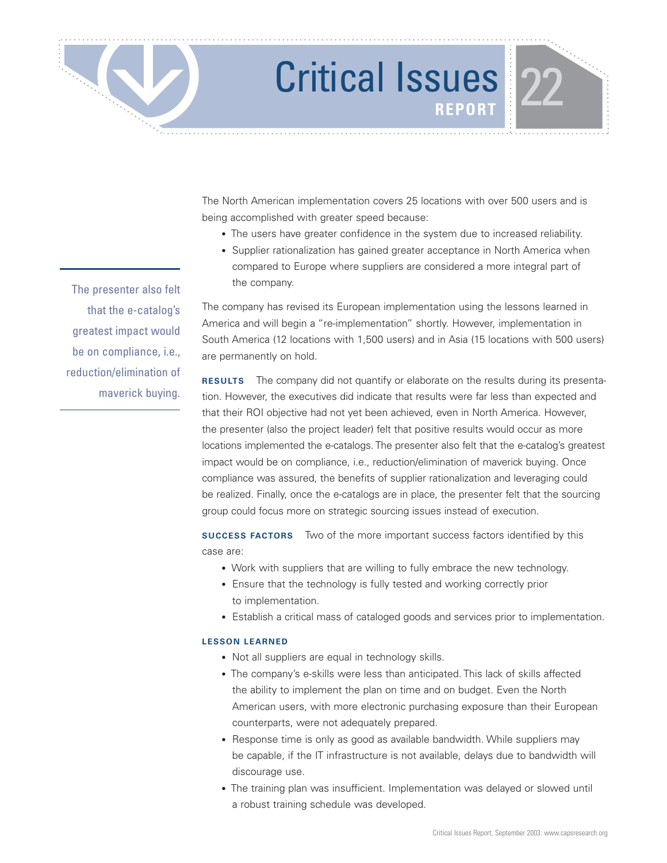The North American implementation covers 25 locations with over 500 users and is being accomplished with greater speed because:

- The users have greater confidence in the system due to increased reliability.
- Supplier rationalization has gained greater acceptance in North America when compared to Europe where suppliers are considered a more integral part of the company.

The company has revised its European implementation using the lessons learned in America and will begin a "re-implementation" shortly. However, implementation in South America (12 locations with 1,500 users) and in Asia (15 locations with 500 users) are permanently on hold.

**RESULTS** The company did not quantify or elaborate on the results during its presentation. However, the executives did indicate that results were far less than expected and that their ROI objective had not yet been achieved, even in North America. However, the presenter (also the project leader) felt that positive results would occur as more locations implemented the e-catalogs. The presenter also felt that the e-catalog's greatest impact would be on compliance, i.e., reduction/elimination of maverick buying. Once compliance was assured, the benefits of supplier rationalization and leveraging could be realized. Finally, once the e-catalogs are in place, the presenter felt that the sourcing group could focus more on strategic sourcing issues instead of execution.

**SUCCESS FACTORS** Two of the more important success factors identified by this case are:

- Work with suppliers that are willing to fully embrace the new technology.
- Ensure that the technology is fully tested and working correctly prior to implementation.
- Establish a critical mass of cataloged goods and services prior to implementation.

### **LESSON LEARNED**

- Not all suppliers are equal in technology skills.
- The company's e-skills were less than anticipated. This lack of skills affected the ability to implement the plan on time and on budget. Even the North American users, with more electronic purchasing exposure than their European counterparts, were not adequately prepared.
- Response time is only as good as available bandwidth. While suppliers may be capable, if the IT infrastructure is not available, delays due to bandwidth will discourage use.
- The training plan was insufficient. Implementation was delayed or slowed until a robust training schedule was developed.

The presenter also felt that the e-catalog's greatest impact would be on compliance, i.e., reduction/elimination of maverick buying.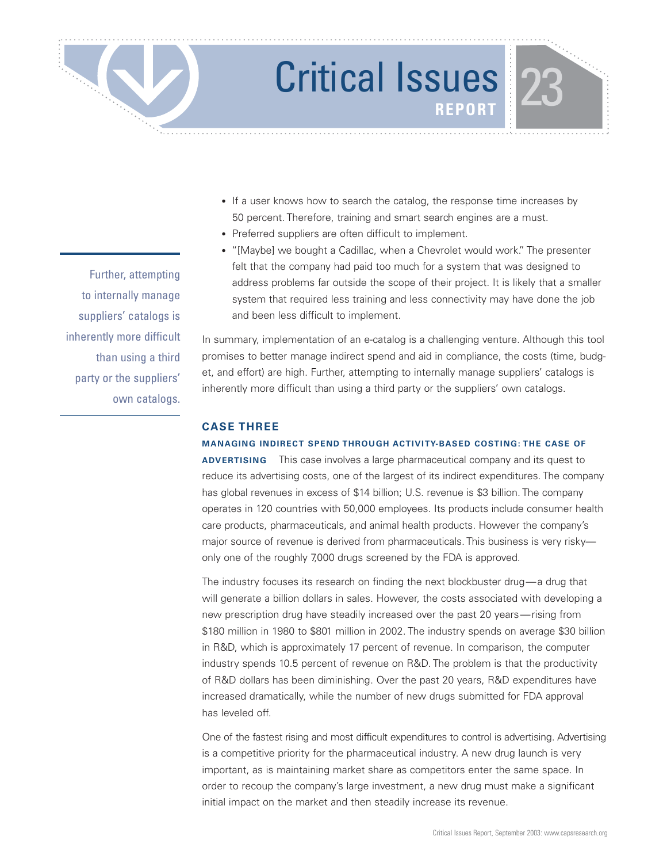

- If a user knows how to search the catalog, the response time increases by 50 percent. Therefore, training and smart search engines are a must.
- Preferred suppliers are often difficult to implement.
- "[Maybe] we bought a Cadillac, when a Chevrolet would work." The presenter felt that the company had paid too much for a system that was designed to address problems far outside the scope of their project. It is likely that a smaller system that required less training and less connectivity may have done the job and been less difficult to implement.

In summary, implementation of an e-catalog is a challenging venture. Although this tool promises to better manage indirect spend and aid in compliance, the costs (time, budget, and effort) are high. Further, attempting to internally manage suppliers' catalogs is inherently more difficult than using a third party or the suppliers' own catalogs.

### **CASE THREE**

### **MANAGING INDIRECT SPEND THROUGH ACTIVITY-BASED COSTING: THE CASE OF**

**ADVERTISING** This case involves a large pharmaceutical company and its quest to reduce its advertising costs, one of the largest of its indirect expenditures. The company has global revenues in excess of \$14 billion; U.S. revenue is \$3 billion. The company operates in 120 countries with 50,000 employees. Its products include consumer health care products, pharmaceuticals, and animal health products. However the company's major source of revenue is derived from pharmaceuticals. This business is very risky only one of the roughly 7,000 drugs screened by the FDA is approved.

The industry focuses its research on finding the next blockbuster drug—a drug that will generate a billion dollars in sales. However, the costs associated with developing a new prescription drug have steadily increased over the past 20 years—rising from \$180 million in 1980 to \$801 million in 2002. The industry spends on average \$30 billion in R&D, which is approximately 17 percent of revenue. In comparison, the computer industry spends 10.5 percent of revenue on R&D. The problem is that the productivity of R&D dollars has been diminishing. Over the past 20 years, R&D expenditures have increased dramatically, while the number of new drugs submitted for FDA approval has leveled off.

One of the fastest rising and most difficult expenditures to control is advertising. Advertising is a competitive priority for the pharmaceutical industry. A new drug launch is very important, as is maintaining market share as competitors enter the same space. In order to recoup the company's large investment, a new drug must make a significant initial impact on the market and then steadily increase its revenue.

Further, attempting to internally manage suppliers' catalogs is inherently more difficult than using a third party or the suppliers' own catalogs.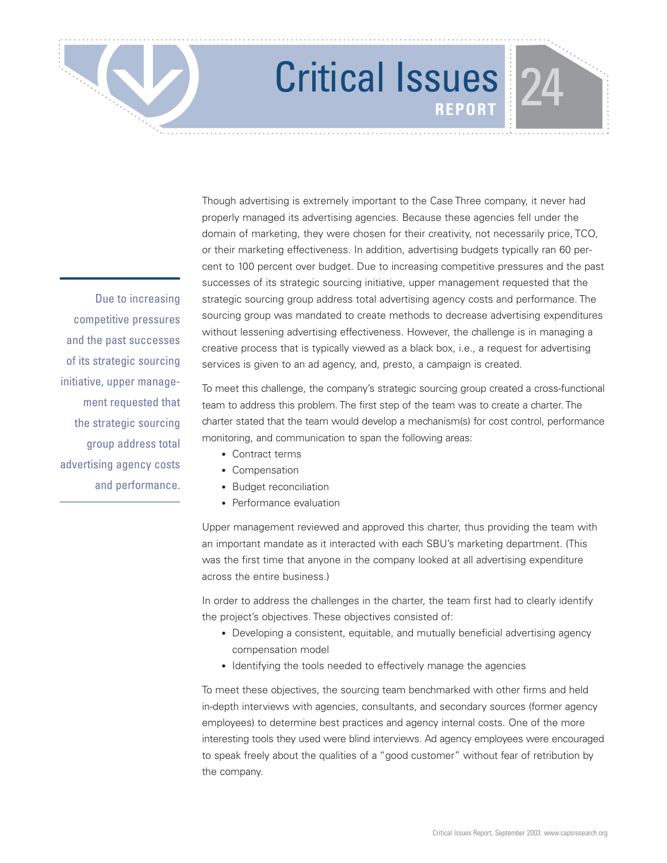Due to increasing competitive pressures and the past successes of its strategic sourcing initiative, upper management requested that the strategic sourcing group address total advertising agency costs and performance.

Though advertising is extremely important to the Case Three company, it never had properly managed its advertising agencies. Because these agencies fell under the domain of marketing, they were chosen for their creativity, not necessarily price, TCO, or their marketing effectiveness. In addition, advertising budgets typically ran 60 percent to 100 percent over budget. Due to increasing competitive pressures and the past successes of its strategic sourcing initiative, upper management requested that the strategic sourcing group address total advertising agency costs and performance. The sourcing group was mandated to create methods to decrease advertising expenditures without lessening advertising effectiveness. However, the challenge is in managing a creative process that is typically viewed as a black box, i.e., a request for advertising services is given to an ad agency, and, presto, a campaign is created.

To meet this challenge, the company's strategic sourcing group created a cross-functional team to address this problem. The first step of the team was to create a charter. The charter stated that the team would develop a mechanism(s) for cost control, performance monitoring, and communication to span the following areas:

- Contract terms
- Compensation
- Budget reconciliation
- Performance evaluation

Upper management reviewed and approved this charter, thus providing the team with an important mandate as it interacted with each SBU's marketing department. (This was the first time that anyone in the company looked at all advertising expenditure across the entire business.)

In order to address the challenges in the charter, the team first had to clearly identify the project's objectives. These objectives consisted of:

- Developing a consistent, equitable, and mutually beneficial advertising agency compensation model
- Identifying the tools needed to effectively manage the agencies

To meet these objectives, the sourcing team benchmarked with other firms and held in-depth interviews with agencies, consultants, and secondary sources (former agency employees) to determine best practices and agency internal costs. One of the more interesting tools they used were blind interviews. Ad agency employees were encouraged to speak freely about the qualities of a "good customer" without fear of retribution by the company.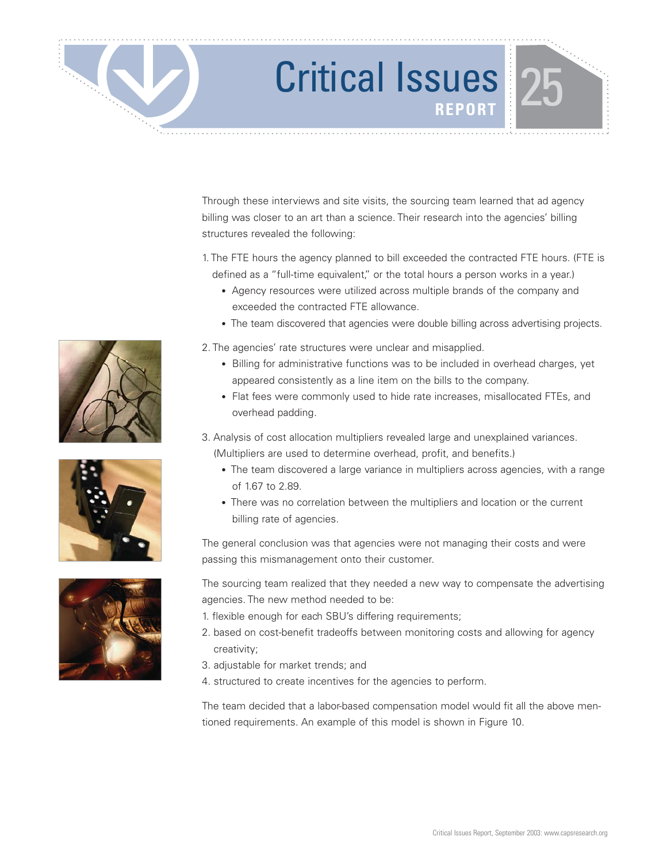Through these interviews and site visits, the sourcing team learned that ad agency billing was closer to an art than a science. Their research into the agencies' billing structures revealed the following:

1. The FTE hours the agency planned to bill exceeded the contracted FTE hours. (FTE is defined as a "full-time equivalent," or the total hours a person works in a year.)

- Agency resources were utilized across multiple brands of the company and exceeded the contracted FTE allowance.
- The team discovered that agencies were double billing across advertising projects.

2. The agencies' rate structures were unclear and misapplied.

- Billing for administrative functions was to be included in overhead charges, yet appeared consistently as a line item on the bills to the company.
- Flat fees were commonly used to hide rate increases, misallocated FTEs, and overhead padding.
- 3. Analysis of cost allocation multipliers revealed large and unexplained variances. (Multipliers are used to determine overhead, profit, and benefits.)
	- The team discovered a large variance in multipliers across agencies, with a range of 1.67 to 2.89.
	- There was no correlation between the multipliers and location or the current billing rate of agencies.

The general conclusion was that agencies were not managing their costs and were passing this mismanagement onto their customer.

The sourcing team realized that they needed a new way to compensate the advertising agencies. The new method needed to be:

- 1. flexible enough for each SBU's differing requirements;
- 2. based on cost-benefit tradeoffs between monitoring costs and allowing for agency creativity;
- 3. adjustable for market trends; and
- 4. structured to create incentives for the agencies to perform.

The team decided that a labor-based compensation model would fit all the above mentioned requirements. An example of this model is shown in Figure 10.



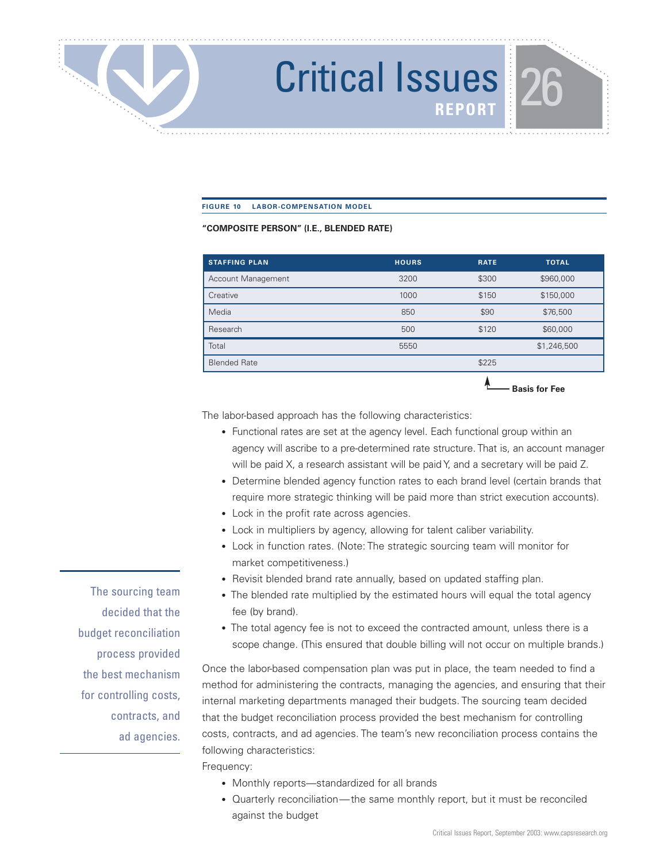### **FIGURE 10 LABOR-COMPENSATION MODEL**

### **"COMPOSITE PERSON" (I.E., BLENDED RATE)**

| <b>STAFFING PLAN</b> | <b>HOURS</b> | <b>RATE</b> | <b>TOTAL</b>         |
|----------------------|--------------|-------------|----------------------|
| Account Management   | 3200         | \$300       | \$960,000            |
| Creative             | 1000         | \$150       | \$150,000            |
| Media                | 850          | \$90        | \$76,500             |
| Research             | 500          | \$120       | \$60,000             |
| Total                | 5550         |             | \$1,246,500          |
| <b>Blended Rate</b>  |              | \$225       |                      |
|                      |              |             | <b>Basis for Fee</b> |

The labor-based approach has the following characteristics:

- Functional rates are set at the agency level. Each functional group within an agency will ascribe to a pre-determined rate structure. That is, an account manager will be paid X, a research assistant will be paid Y, and a secretary will be paid Z.
- Determine blended agency function rates to each brand level (certain brands that require more strategic thinking will be paid more than strict execution accounts).
- Lock in the profit rate across agencies.
- Lock in multipliers by agency, allowing for talent caliber variability.
- Lock in function rates. (Note: The strategic sourcing team will monitor for market competitiveness.)
- Revisit blended brand rate annually, based on updated staffing plan.
- The blended rate multiplied by the estimated hours will equal the total agency fee (by brand).
- The total agency fee is not to exceed the contracted amount, unless there is a scope change. (This ensured that double billing will not occur on multiple brands.)

Once the labor-based compensation plan was put in place, the team needed to find a method for administering the contracts, managing the agencies, and ensuring that their internal marketing departments managed their budgets. The sourcing team decided that the budget reconciliation process provided the best mechanism for controlling costs, contracts, and ad agencies. The team's new reconciliation process contains the following characteristics:

Frequency:

- Monthly reports—standardized for all brands
- Quarterly reconciliation—the same monthly report, but it must be reconciled against the budget

The sourcing team decided that the budget reconciliation process provided the best mechanism for controlling costs, contracts, and ad agencies.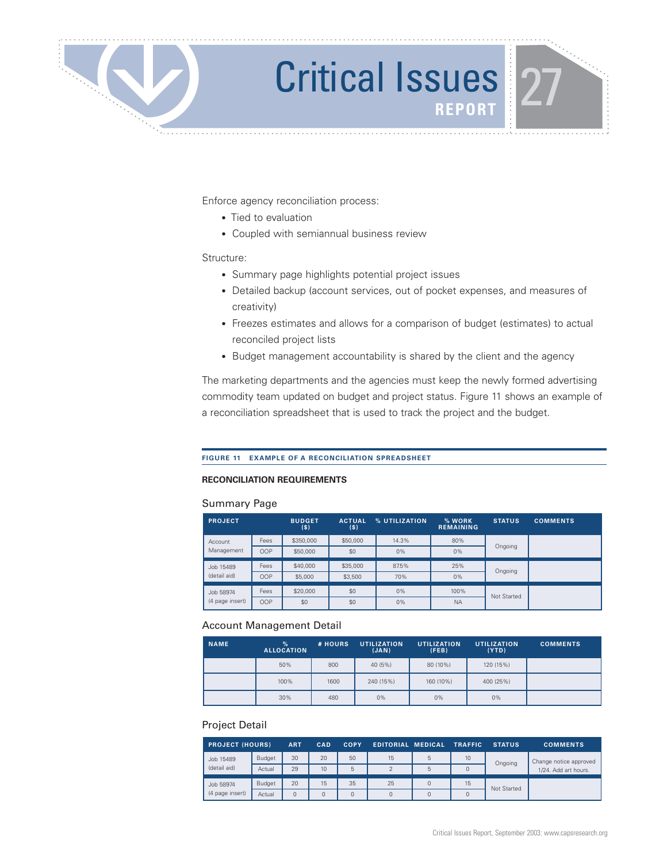

Enforce agency reconciliation process:

- Tied to evaluation
- Coupled with semiannual business review

### Structure:

- Summary page highlights potential project issues
- Detailed backup (account services, out of pocket expenses, and measures of creativity)
- Freezes estimates and allows for a comparison of budget (estimates) to actual reconciled project lists
- Budget management accountability is shared by the client and the agency

The marketing departments and the agencies must keep the newly formed advertising commodity team updated on budget and project status. Figure 11 shows an example of a reconciliation spreadsheet that is used to track the project and the budget.

### **FIGURE 11 EXAMPLE OF A RECONCILIATION SPREADSHEET**

### **RECONCILIATION REQUIREMENTS**

### Summary Page

| <b>PROJECT</b>               |      | <b>BUDGET</b><br>(\$) | <b>ACTUAL</b><br>(s) | % UTILIZATION | % WORK<br><b>REMAINING</b> | <b>STATUS</b> | <b>COMMENTS</b> |
|------------------------------|------|-----------------------|----------------------|---------------|----------------------------|---------------|-----------------|
| Account                      | Fees | \$350,000             | \$50,000             | 14.3%         | 80%                        |               |                 |
| Management                   | OOP  | \$50,000              | \$0                  | 0%            | 0%                         | Ongoing       |                 |
| Job 15489                    | Fees | \$40,000              | \$35,000             | 87.5%         | 25%                        | Ongoing       |                 |
| (detail aid)<br><b>OOP</b>   |      | \$5,000               | \$3,500              | 70%           | 0%                         |               |                 |
| Job 58974<br>(4 page insert) | Fees | \$20,000              | \$0                  | $0\%$         | 100%                       | Not Started   |                 |
|                              | OOP  | \$0                   | \$0                  | 0%            | <b>NA</b>                  |               |                 |

### Account Management Detail

| <b>NAME</b> | $\%$<br><b>ALLOCATION</b> | # HOURS | <b>UTILIZATION</b><br>(JAN) | <b>UTILIZATION</b><br>(FEB) | <b>UTILIZATION</b><br>(YTD) | <b>COMMENTS</b> |
|-------------|---------------------------|---------|-----------------------------|-----------------------------|-----------------------------|-----------------|
|             | 50%                       | 800     | 40 (5%)                     | 80 (10%)                    | 120 (15%)                   |                 |
|             | 100%                      | 1600    | 240 (15%)                   | 160 (10%)                   | 400 (25%)                   |                 |
|             | 30%                       | 480     | $0\%$                       | $0\%$                       | $0\%$                       |                 |

### Project Detail

| <b>PROJECT (HOURS)</b> |               | <b>ART</b> | CAD             | <b>COPY</b> | <b>EDITORIAL MEDICAL</b> |   | <b>TRAFFIC</b>  | <b>STATUS</b> | <b>COMMENTS</b>      |  |                        |
|------------------------|---------------|------------|-----------------|-------------|--------------------------|---|-----------------|---------------|----------------------|--|------------------------|
| Job 15489              | Budget        | 30         | 20              | 50          | 15                       | 5 | 10 <sup>°</sup> | Ongoing       |                      |  | Change notice approved |
| (detail aid)           | Actual        | 29         | 10 <sup>1</sup> | 5           | $\epsilon$               | 5 |                 |               | 1/24. Add art hours. |  |                        |
| Job 58974              | <b>Budget</b> | 20         | 15              | 35          | 25                       |   | 15              |               |                      |  |                        |
| (4 page insert)        | Actual        | O          |                 |             | 0                        |   |                 | Not Started   |                      |  |                        |

. . . . . . . . . . . . . . . . . . . .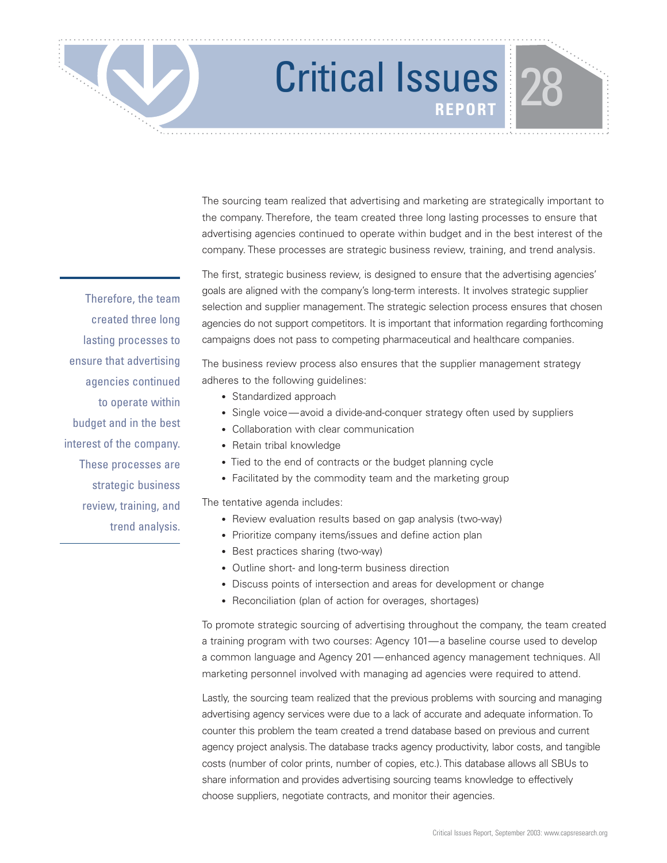The sourcing team realized that advertising and marketing are strategically important to the company. Therefore, the team created three long lasting processes to ensure that advertising agencies continued to operate within budget and in the best interest of the company. These processes are strategic business review, training, and trend analysis.

The first, strategic business review, is designed to ensure that the advertising agencies' goals are aligned with the company's long-term interests. It involves strategic supplier selection and supplier management. The strategic selection process ensures that chosen agencies do not support competitors. It is important that information regarding forthcoming campaigns does not pass to competing pharmaceutical and healthcare companies.

The business review process also ensures that the supplier management strategy adheres to the following guidelines:

- Standardized approach
- Single voice—avoid a divide-and-conquer strategy often used by suppliers
- Collaboration with clear communication
- Retain tribal knowledge
- Tied to the end of contracts or the budget planning cycle
- Facilitated by the commodity team and the marketing group

The tentative agenda includes:

- Review evaluation results based on gap analysis (two-way)
- Prioritize company items/issues and define action plan
- Best practices sharing (two-way)
- Outline short- and long-term business direction
- Discuss points of intersection and areas for development or change
- Reconciliation (plan of action for overages, shortages)

To promote strategic sourcing of advertising throughout the company, the team created a training program with two courses: Agency 101—a baseline course used to develop a common language and Agency 201—enhanced agency management techniques. All marketing personnel involved with managing ad agencies were required to attend.

Lastly, the sourcing team realized that the previous problems with sourcing and managing advertising agency services were due to a lack of accurate and adequate information. To counter this problem the team created a trend database based on previous and current agency project analysis. The database tracks agency productivity, labor costs, and tangible costs (number of color prints, number of copies, etc.). This database allows all SBUs to share information and provides advertising sourcing teams knowledge to effectively choose suppliers, negotiate contracts, and monitor their agencies.

Therefore, the team created three long lasting processes to ensure that advertising agencies continued to operate within budget and in the best interest of the company. These processes are strategic business review, training, and trend analysis.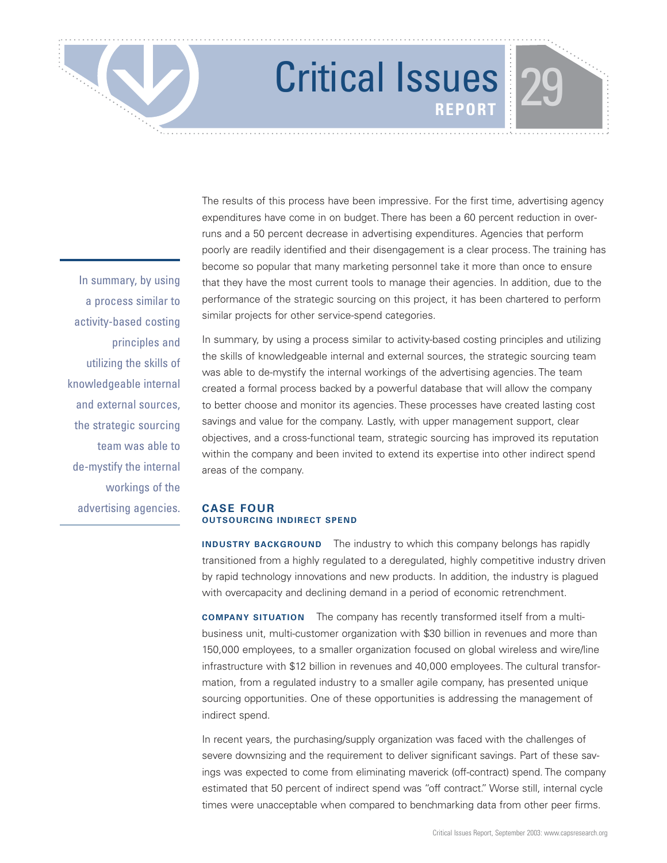In summary, by using a process similar to activity-based costing principles and utilizing the skills of knowledgeable internal and external sources, the strategic sourcing team was able to de-mystify the internal workings of the advertising agencies. The results of this process have been impressive. For the first time, advertising agency expenditures have come in on budget. There has been a 60 percent reduction in overruns and a 50 percent decrease in advertising expenditures. Agencies that perform poorly are readily identified and their disengagement is a clear process. The training has become so popular that many marketing personnel take it more than once to ensure that they have the most current tools to manage their agencies. In addition, due to the performance of the strategic sourcing on this project, it has been chartered to perform similar projects for other service-spend categories.

In summary, by using a process similar to activity-based costing principles and utilizing the skills of knowledgeable internal and external sources, the strategic sourcing team was able to de-mystify the internal workings of the advertising agencies. The team created a formal process backed by a powerful database that will allow the company to better choose and monitor its agencies. These processes have created lasting cost savings and value for the company. Lastly, with upper management support, clear objectives, and a cross-functional team, strategic sourcing has improved its reputation within the company and been invited to extend its expertise into other indirect spend areas of the company.

### **CASE FOUR OUTSOURCING INDIRECT SPEND**

**INDUSTRY BACKGROUND** The industry to which this company belongs has rapidly transitioned from a highly regulated to a deregulated, highly competitive industry driven by rapid technology innovations and new products. In addition, the industry is plagued with overcapacity and declining demand in a period of economic retrenchment.

**COMPANY SITUATION** The company has recently transformed itself from a multibusiness unit, multi-customer organization with \$30 billion in revenues and more than 150,000 employees, to a smaller organization focused on global wireless and wire/line infrastructure with \$12 billion in revenues and 40,000 employees. The cultural transformation, from a regulated industry to a smaller agile company, has presented unique sourcing opportunities. One of these opportunities is addressing the management of indirect spend.

In recent years, the purchasing/supply organization was faced with the challenges of severe downsizing and the requirement to deliver significant savings. Part of these savings was expected to come from eliminating maverick (off-contract) spend. The company estimated that 50 percent of indirect spend was "off contract." Worse still, internal cycle times were unacceptable when compared to benchmarking data from other peer firms.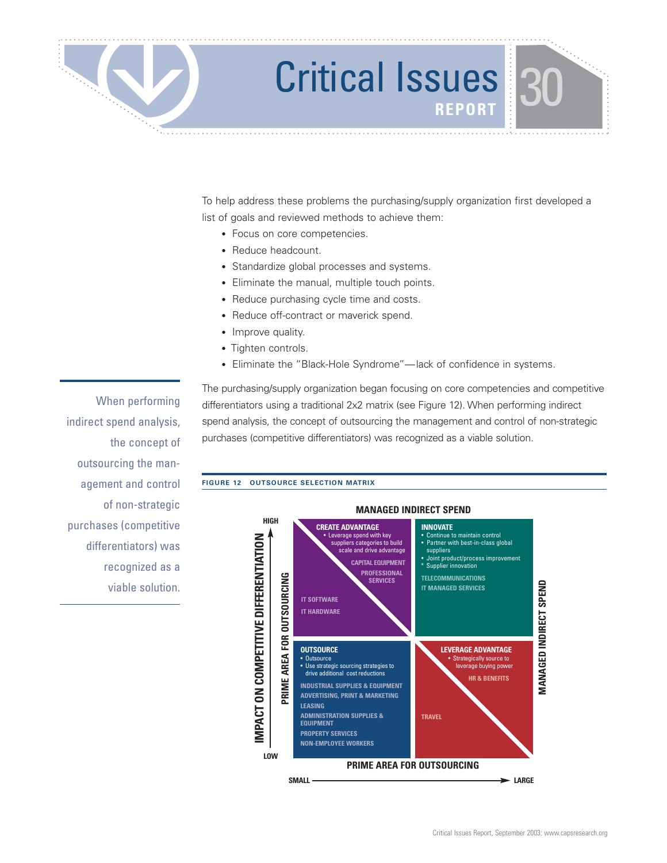

### Critical Issues<sup>130</sup>

To help address these problems the purchasing/supply organization first developed a list of goals and reviewed methods to achieve them:

- Focus on core competencies.
- Reduce headcount.
- Standardize global processes and systems.
- Eliminate the manual, multiple touch points.
- Reduce purchasing cycle time and costs.
- Reduce off-contract or maverick spend.
- Improve quality.
- Tighten controls.
- Eliminate the "Black-Hole Syndrome"—lack of confidence in systems.

When performing indirect spend analysis, the concept of outsourcing the management and control of non-strategic purchases (competitive differentiators) was recognized as a viable solution. The purchasing/supply organization began focusing on core competencies and competitive differentiators using a traditional 2x2 matrix (see Figure 12). When performing indirect spend analysis, the concept of outsourcing the management and control of non-strategic purchases (competitive differentiators) was recognized as a viable solution.

### **FIGURE 12 OUTSOURCE SELECTION MATRIX**

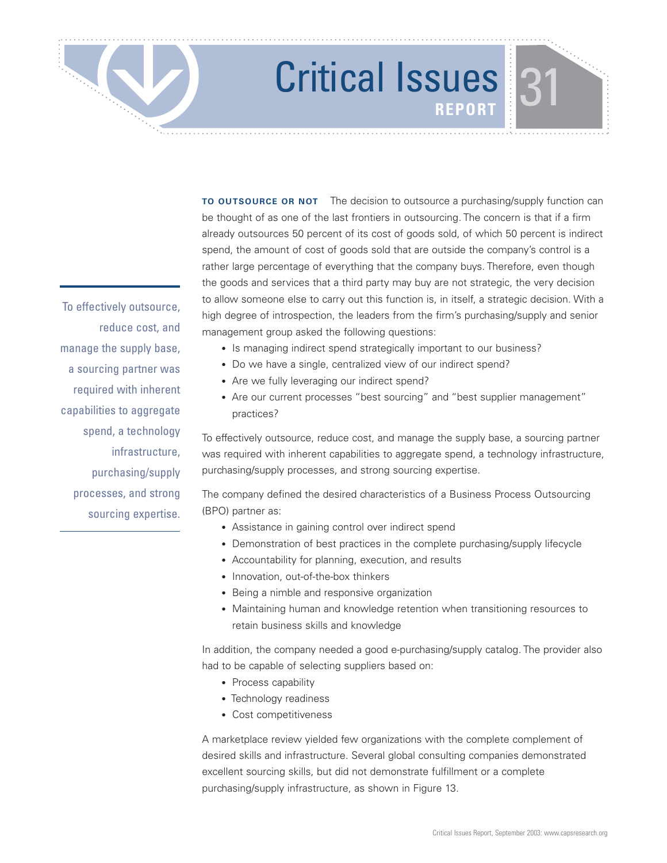## Critical Issues<sup>1</sup>31

**TO OUTSOURCE OR NOT** The decision to outsource a purchasing/supply function can be thought of as one of the last frontiers in outsourcing. The concern is that if a firm already outsources 50 percent of its cost of goods sold, of which 50 percent is indirect spend, the amount of cost of goods sold that are outside the company's control is a rather large percentage of everything that the company buys. Therefore, even though the goods and services that a third party may buy are not strategic, the very decision to allow someone else to carry out this function is, in itself, a strategic decision. With a high degree of introspection, the leaders from the firm's purchasing/supply and senior management group asked the following questions:

- Is managing indirect spend strategically important to our business?
- Do we have a single, centralized view of our indirect spend?
- Are we fully leveraging our indirect spend?
- Are our current processes "best sourcing" and "best supplier management" practices?

To effectively outsource, reduce cost, and manage the supply base, a sourcing partner was required with inherent capabilities to aggregate spend, a technology infrastructure, purchasing/supply processes, and strong sourcing expertise.

The company defined the desired characteristics of a Business Process Outsourcing (BPO) partner as:

- Assistance in gaining control over indirect spend
- Demonstration of best practices in the complete purchasing/supply lifecycle
- Accountability for planning, execution, and results
- Innovation, out-of-the-box thinkers
- Being a nimble and responsive organization
- Maintaining human and knowledge retention when transitioning resources to retain business skills and knowledge

In addition, the company needed a good e-purchasing/supply catalog. The provider also had to be capable of selecting suppliers based on:

- Process capability
- Technology readiness
- Cost competitiveness

A marketplace review yielded few organizations with the complete complement of desired skills and infrastructure. Several global consulting companies demonstrated excellent sourcing skills, but did not demonstrate fulfillment or a complete purchasing/supply infrastructure, as shown in Figure 13.

To effectively outsource, reduce cost, and manage the supply base, a sourcing partner was required with inherent capabilities to aggregate spend, a technology infrastructure, purchasing/supply processes, and strong sourcing expertise.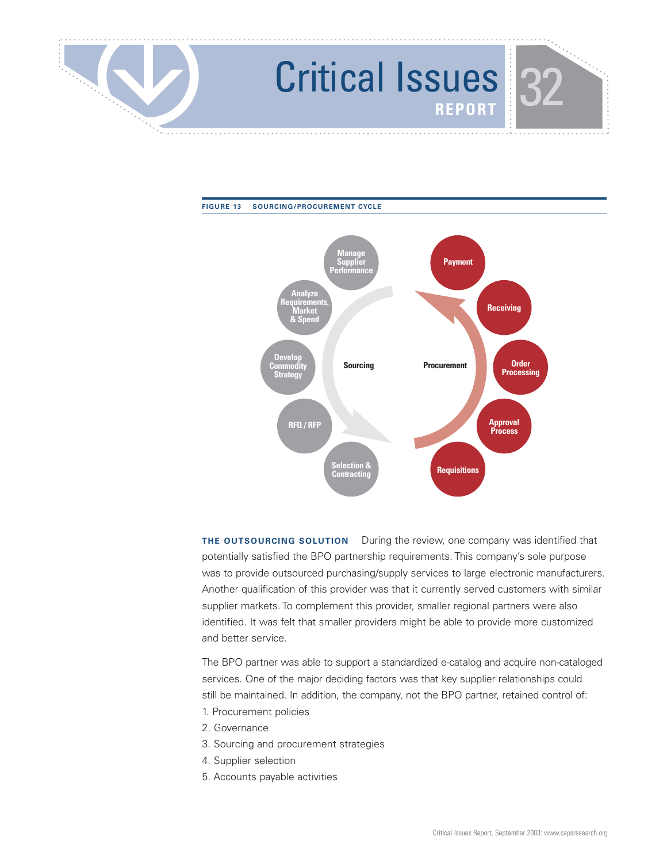



**THE OUTSOURCING SOLUTION** During the review, one company was identified that potentially satisfied the BPO partnership requirements. This company's sole purpose was to provide outsourced purchasing/supply services to large electronic manufacturers. Another qualification of this provider was that it currently served customers with similar supplier markets. To complement this provider, smaller regional partners were also identified. It was felt that smaller providers might be able to provide more customized and better service.

The BPO partner was able to support a standardized e-catalog and acquire non-cataloged services. One of the major deciding factors was that key supplier relationships could still be maintained. In addition, the company, not the BPO partner, retained control of:

- 1. Procurement policies
- 2. Governance
- 3. Sourcing and procurement strategies
- 4. Supplier selection
- 5. Accounts payable activities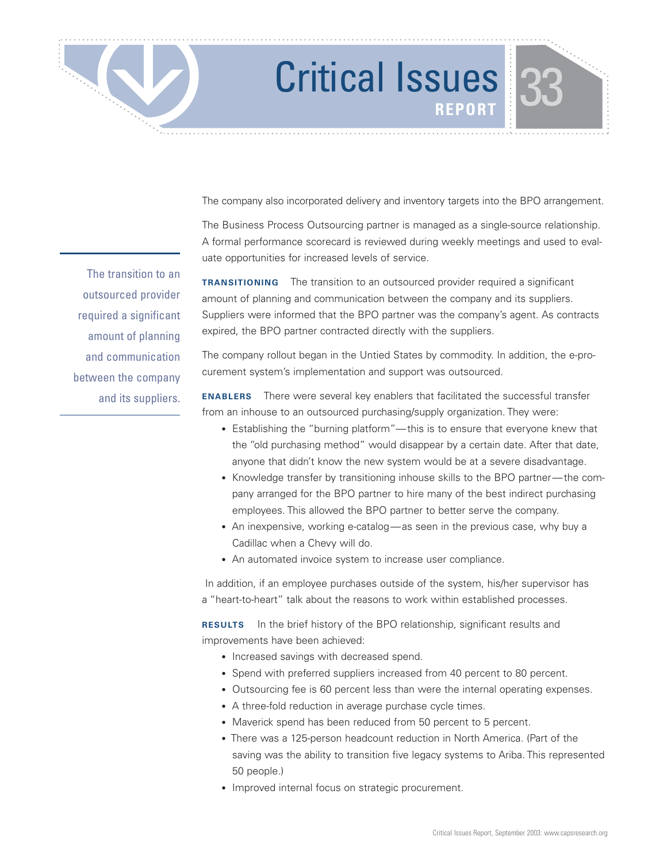The company also incorporated delivery and inventory targets into the BPO arrangement.

The Business Process Outsourcing partner is managed as a single-source relationship. A formal performance scorecard is reviewed during weekly meetings and used to evaluate opportunities for increased levels of service.

**TRANSITIONING** The transition to an outsourced provider required a significant amount of planning and communication between the company and its suppliers. Suppliers were informed that the BPO partner was the company's agent. As contracts expired, the BPO partner contracted directly with the suppliers.

The company rollout began in the Untied States by commodity. In addition, the e-procurement system's implementation and support was outsourced.

**ENABLERS** There were several key enablers that facilitated the successful transfer from an inhouse to an outsourced purchasing/supply organization. They were:

- Establishing the "burning platform"—this is to ensure that everyone knew that the "old purchasing method" would disappear by a certain date. After that date, anyone that didn't know the new system would be at a severe disadvantage.
- Knowledge transfer by transitioning inhouse skills to the BPO partner—the company arranged for the BPO partner to hire many of the best indirect purchasing employees. This allowed the BPO partner to better serve the company.
- An inexpensive, working e-catalog—as seen in the previous case, why buy a Cadillac when a Chevy will do.
- An automated invoice system to increase user compliance.

In addition, if an employee purchases outside of the system, his/her supervisor has a "heart-to-heart" talk about the reasons to work within established processes.

**RESULTS** In the brief history of the BPO relationship, significant results and improvements have been achieved:

- Increased savings with decreased spend.
- Spend with preferred suppliers increased from 40 percent to 80 percent.
- Outsourcing fee is 60 percent less than were the internal operating expenses.
- A three-fold reduction in average purchase cycle times.
- Maverick spend has been reduced from 50 percent to 5 percent.
- There was a 125-person headcount reduction in North America. (Part of the saving was the ability to transition five legacy systems to Ariba. This represented 50 people.)
- Improved internal focus on strategic procurement.

The transition to an outsourced provider required a significant amount of planning and communication between the company and its suppliers.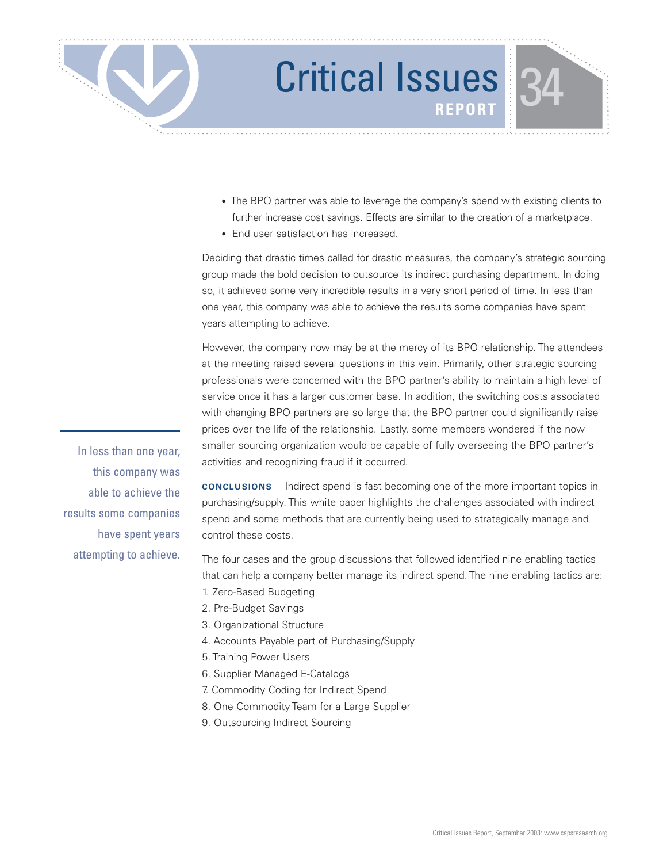

- The BPO partner was able to leverage the company's spend with existing clients to further increase cost savings. Effects are similar to the creation of a marketplace.
- End user satisfaction has increased.

Deciding that drastic times called for drastic measures, the company's strategic sourcing group made the bold decision to outsource its indirect purchasing department. In doing so, it achieved some very incredible results in a very short period of time. In less than one year, this company was able to achieve the results some companies have spent years attempting to achieve.

However, the company now may be at the mercy of its BPO relationship. The attendees at the meeting raised several questions in this vein. Primarily, other strategic sourcing professionals were concerned with the BPO partner's ability to maintain a high level of service once it has a larger customer base. In addition, the switching costs associated with changing BPO partners are so large that the BPO partner could significantly raise prices over the life of the relationship. Lastly, some members wondered if the now smaller sourcing organization would be capable of fully overseeing the BPO partner's activities and recognizing fraud if it occurred.

**CONCLUSIONS** Indirect spend is fast becoming one of the more important topics in purchasing/supply. This white paper highlights the challenges associated with indirect spend and some methods that are currently being used to strategically manage and control these costs.

The four cases and the group discussions that followed identified nine enabling tactics that can help a company better manage its indirect spend. The nine enabling tactics are:

- 1. Zero-Based Budgeting
- 2. Pre-Budget Savings
- 3. Organizational Structure
- 4. Accounts Payable part of Purchasing/Supply
- 5. Training Power Users
- 6. Supplier Managed E-Catalogs
- 7. Commodity Coding for Indirect Spend
- 8. One Commodity Team for a Large Supplier
- 9. Outsourcing Indirect Sourcing

In less than one year, this company was able to achieve the results some companies have spent years attempting to achieve.